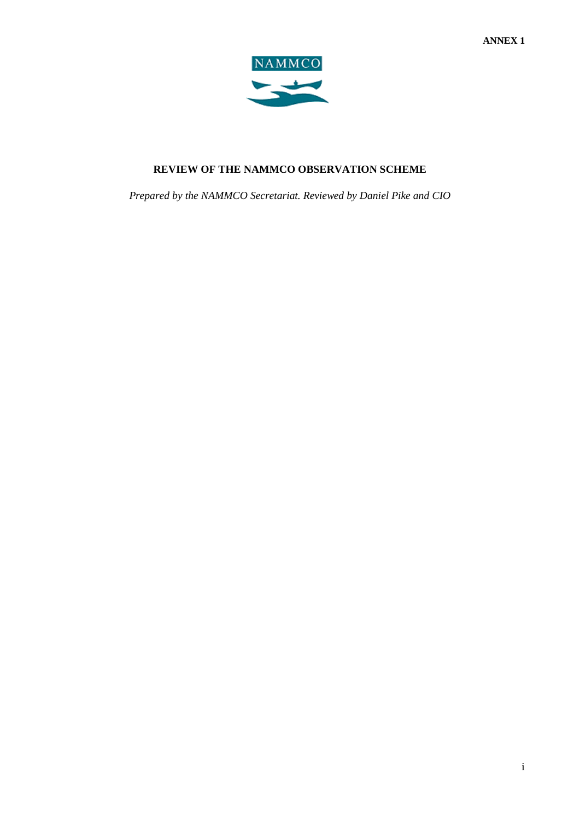

## **REVIEW OF THE NAMMCO OBSERVATION SCHEME**

*Prepared by the NAMMCO Secretariat. Reviewed by Daniel Pike and CIO*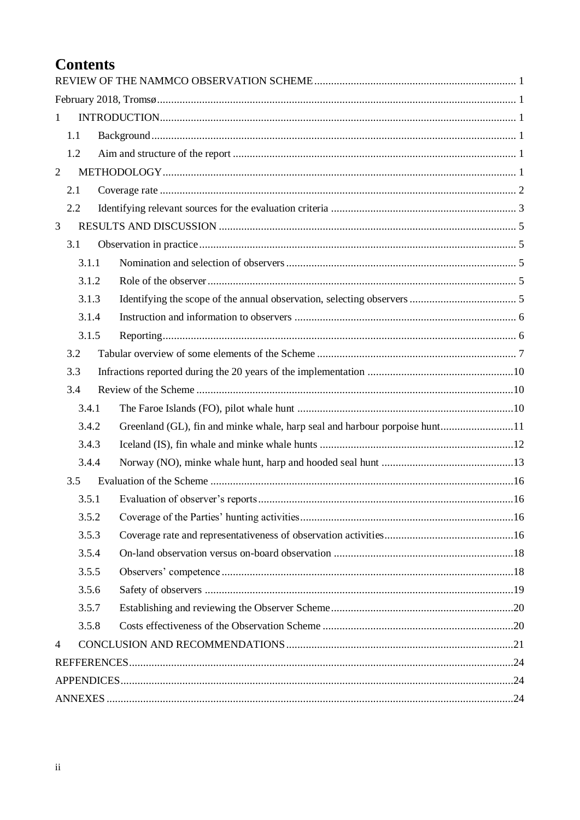# **Contents**

| $\mathbf{1}$   |       |                                                                            |  |
|----------------|-------|----------------------------------------------------------------------------|--|
|                | 1.1   |                                                                            |  |
|                | 1.2   |                                                                            |  |
| $\overline{2}$ |       |                                                                            |  |
|                | 2.1   |                                                                            |  |
|                | 2.2   |                                                                            |  |
| 3              |       |                                                                            |  |
|                | 3.1   |                                                                            |  |
|                | 3.1.1 |                                                                            |  |
|                | 3.1.2 |                                                                            |  |
|                | 3.1.3 |                                                                            |  |
|                | 3.1.4 |                                                                            |  |
|                | 3.1.5 |                                                                            |  |
|                | 3.2   |                                                                            |  |
|                | 3.3   |                                                                            |  |
|                | 3.4   |                                                                            |  |
|                | 3.4.1 |                                                                            |  |
|                | 3.4.2 | Greenland (GL), fin and minke whale, harp seal and harbour porpoise hunt11 |  |
|                | 3.4.3 |                                                                            |  |
|                | 3.4.4 |                                                                            |  |
|                | 3.5   |                                                                            |  |
|                | 3.5.1 |                                                                            |  |
|                | 3.5.2 |                                                                            |  |
|                | 3.5.3 |                                                                            |  |
|                | 3.5.4 |                                                                            |  |
|                | 3.5.5 |                                                                            |  |
|                | 3.5.6 |                                                                            |  |
|                | 3.5.7 |                                                                            |  |
|                | 3.5.8 |                                                                            |  |
| $\overline{4}$ |       |                                                                            |  |
|                |       |                                                                            |  |
|                |       |                                                                            |  |
|                |       |                                                                            |  |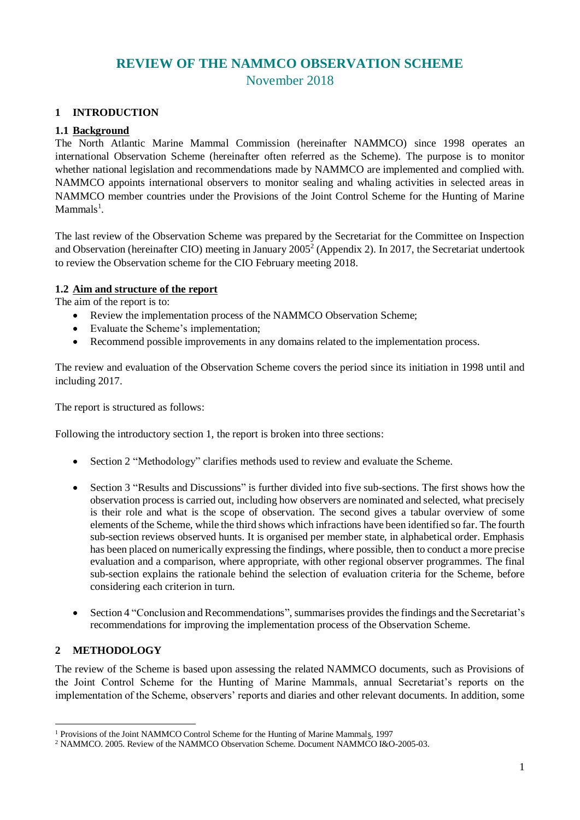## **REVIEW OF THE NAMMCO OBSERVATION SCHEME** November 2018

## <span id="page-2-2"></span><span id="page-2-1"></span><span id="page-2-0"></span>**1 INTRODUCTION**

#### <span id="page-2-3"></span>**1.1 Background**

The North Atlantic Marine Mammal Commission (hereinafter NAMMCO) since 1998 operates an international Observation Scheme (hereinafter often referred as the Scheme). The purpose is to monitor whether national legislation and recommendations made by NAMMCO are implemented and complied with. NAMMCO appoints international observers to monitor sealing and whaling activities in selected areas in NAMMCO member countries under the Provisions of the Joint Control Scheme for the Hunting of Marine  $Mammals<sup>1</sup>$ .

The last review of the Observation Scheme was prepared by the Secretariat for the Committee on Inspection and Observation (hereinafter CIO) meeting in January 2005<sup>2</sup> (Appendix 2). In 2017, the Secretariat undertook to review the Observation scheme for the CIO February meeting 2018.

#### <span id="page-2-4"></span>**1.2 Aim and structure of the report**

The aim of the report is to:

- Review the implementation process of the NAMMCO Observation Scheme;
- Evaluate the Scheme's implementation;
- Recommend possible improvements in any domains related to the implementation process.

The review and evaluation of the Observation Scheme covers the period since its initiation in 1998 until and including 2017.

The report is structured as follows:

Following the introductory section 1, the report is broken into three sections:

- Section 2 "Methodology" clarifies methods used to review and evaluate the Scheme.
- Section 3 "Results and Discussions" is further divided into five sub-sections. The first shows how the observation process is carried out, including how observers are nominated and selected, what precisely is their role and what is the scope of observation. The second gives a tabular overview of some elements of the Scheme, while the third shows which infractions have been identified so far. The fourth sub-section reviews observed hunts. It is organised per member state, in alphabetical order. Emphasis has been placed on numerically expressing the findings, where possible, then to conduct a more precise evaluation and a comparison, where appropriate, with other regional observer programmes. The final sub-section explains the rationale behind the selection of evaluation criteria for the Scheme, before considering each criterion in turn.
- Section 4 "Conclusion and Recommendations", summarises provides the findings and the Secretariat's recommendations for improving the implementation process of the Observation Scheme.

#### <span id="page-2-5"></span>**2 METHODOLOGY**

-

The review of the Scheme is based upon assessing the related NAMMCO documents, such as Provisions of the Joint Control Scheme for the Hunting of Marine Mammals, annual Secretariat's reports on the implementation of the Scheme, observers' reports and diaries and other relevant documents. In addition, some

<sup>&</sup>lt;sup>1</sup> [Provisions of the Joint NAMMCO Control Scheme for the Hunting of Marine Mammals,](https://nammco.no/wp-content/uploads/2017/09/provisions-of-the-joint-nammco-control-scheme-for-the-hunting-of-marine-mammals.pdf) 1997

<sup>2</sup> NAMMCO. 2005. Review of the NAMMCO Observation Scheme. Document NAMMCO I&O-2005-03.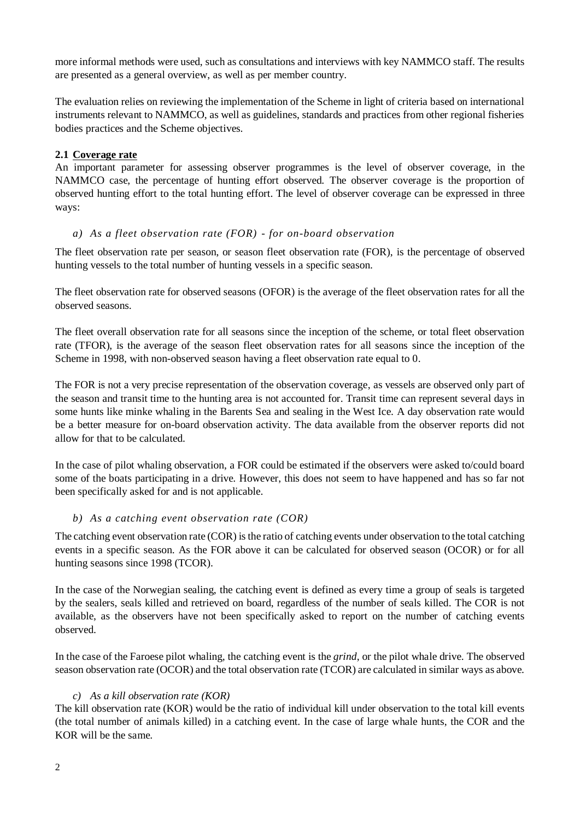more informal methods were used, such as consultations and interviews with key NAMMCO staff. The results are presented as a general overview, as well as per member country.

The evaluation relies on reviewing the implementation of the Scheme in light of criteria based on international instruments relevant to NAMMCO, as well as guidelines, standards and practices from other regional fisheries bodies practices and the Scheme objectives.

#### <span id="page-3-0"></span>**2.1 Coverage rate**

An important parameter for assessing observer programmes is the level of observer coverage, in the NAMMCO case, the percentage of hunting effort observed. The observer coverage is the proportion of observed hunting effort to the total hunting effort. The level of observer coverage can be expressed in three ways:

#### *a) As a fleet observation rate (FOR) - for on-board observation*

The fleet observation rate per season, or season fleet observation rate (FOR), is the percentage of observed hunting vessels to the total number of hunting vessels in a specific season.

The fleet observation rate for observed seasons (OFOR) is the average of the fleet observation rates for all the observed seasons.

The fleet overall observation rate for all seasons since the inception of the scheme, or total fleet observation rate (TFOR), is the average of the season fleet observation rates for all seasons since the inception of the Scheme in 1998, with non-observed season having a fleet observation rate equal to 0.

The FOR is not a very precise representation of the observation coverage, as vessels are observed only part of the season and transit time to the hunting area is not accounted for. Transit time can represent several days in some hunts like minke whaling in the Barents Sea and sealing in the West Ice. A day observation rate would be a better measure for on-board observation activity. The data available from the observer reports did not allow for that to be calculated.

In the case of pilot whaling observation, a FOR could be estimated if the observers were asked to/could board some of the boats participating in a drive. However, this does not seem to have happened and has so far not been specifically asked for and is not applicable.

#### *b) As a catching event observation rate (COR)*

The catching event observation rate (COR) is the ratio of catching events under observation to the total catching events in a specific season. As the FOR above it can be calculated for observed season (OCOR) or for all hunting seasons since 1998 (TCOR).

In the case of the Norwegian sealing, the catching event is defined as every time a group of seals is targeted by the sealers, seals killed and retrieved on board, regardless of the number of seals killed. The COR is not available, as the observers have not been specifically asked to report on the number of catching events observed.

In the case of the Faroese pilot whaling, the catching event is the *grind*, or the pilot whale drive. The observed season observation rate (OCOR) and the total observation rate (TCOR) are calculated in similar ways as above.

#### *c) As a kill observation rate (KOR)*

The kill observation rate (KOR) would be the ratio of individual kill under observation to the total kill events (the total number of animals killed) in a catching event. In the case of large whale hunts, the COR and the KOR will be the same.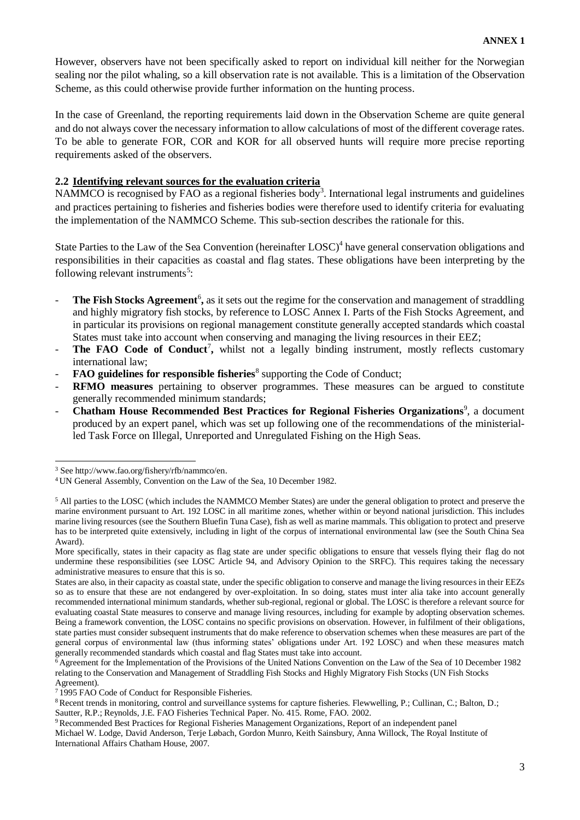However, observers have not been specifically asked to report on individual kill neither for the Norwegian sealing nor the pilot whaling, so a kill observation rate is not available. This is a limitation of the Observation Scheme, as this could otherwise provide further information on the hunting process.

In the case of Greenland, the reporting requirements laid down in the Observation Scheme are quite general and do not always cover the necessary information to allow calculations of most of the different coverage rates. To be able to generate FOR, COR and KOR for all observed hunts will require more precise reporting requirements asked of the observers.

#### <span id="page-4-0"></span>**2.2 Identifying relevant sources for the evaluation criteria**

NAMMCO is recognised by FAO as a regional fisheries body<sup>3</sup>. International legal instruments and guidelines and practices pertaining to fisheries and fisheries bodies were therefore used to identify criteria for evaluating the implementation of the NAMMCO Scheme. This sub-section describes the rationale for this.

State Parties to the Law of the Sea Convention (hereinafter LOSC)<sup>4</sup> have general conservation obligations and responsibilities in their capacities as coastal and flag states. These obligations have been interpreting by the following relevant instruments<sup>5</sup>:

- **The Fish Stocks Agreement<sup>6</sup>**, as it sets out the regime for the conservation and management of straddling and highly migratory fish stocks, by reference to LOSC Annex I. Parts of the Fish Stocks Agreement, and in particular its provisions on regional management constitute generally accepted standards which coastal States must take into account when conserving and managing the living resources in their EEZ;
- **The FAO Code of Conduct<sup>7</sup>**, whilst not a legally binding instrument, mostly reflects customary international law;
- **FAO guidelines for responsible fisheries**<sup>8</sup> supporting the Code of Conduct;
- **RFMO measures** pertaining to observer programmes. These measures can be argued to constitute generally recommended minimum standards;
- **Chatham House Recommended Best Practices for Regional Fisheries Organizations<sup>9</sup>, a document** produced by an expert panel, which was set up following one of the recommendations of the ministerialled Task Force on Illegal, Unreported and Unregulated Fishing on the High Seas.

<sup>3</sup> Se[e http://www.fao.org/fishery/rfb/nammco/en.](http://www.fao.org/fishery/rfb/nammco/en)

<sup>4</sup> UN General Assembly, Convention on the Law of the Sea, 10 December 1982.

<sup>&</sup>lt;sup>5</sup> All parties to the LOSC (which includes the NAMMCO Member States) are under the general obligation to protect and preserve the marine environment pursuant to Art. 192 LOSC in all maritime zones, whether within or beyond national jurisdiction. This includes marine living resources (see the Southern Bluefin Tuna Case), fish as well as marine mammals. This obligation to protect and preserve has to be interpreted quite extensively, including in light of the corpus of international environmental law (see the South China Sea Award).

More specifically, states in their capacity as flag state are under specific obligations to ensure that vessels flying their flag do not undermine these responsibilities (see LOSC Article 94, and Advisory Opinion to the SRFC). This requires taking the necessary administrative measures to ensure that this is so.

States are also, in their capacity as coastal state, under the specific obligation to conserve and manage the living resources in their EEZs so as to ensure that these are not endangered by over-exploitation. In so doing, states must inter alia take into account generally recommended international minimum standards, whether sub-regional, regional or global. The LOSC is therefore a relevant source for evaluating coastal State measures to conserve and manage living resources, including for example by adopting observation schemes. Being a framework convention, the LOSC contains no specific provisions on observation. However, in fulfilment of their obligations, state parties must consider subsequent instruments that do make reference to observation schemes when these measures are part of the general corpus of environmental law (thus informing states' obligations under Art. 192 LOSC) and when these measures match generally recommended standards which coastal and flag States must take into account.

<sup>6</sup> Agreement for the Implementation of the Provisions of the United Nations Convention on the Law of the Sea of 10 December 1982 relating to the Conservation and Management of Straddling Fish Stocks and Highly Migratory Fish Stocks (UN Fish Stocks Agreement).

<sup>7</sup> 1995 FAO Code of Conduct for Responsible Fisheries.

<sup>8</sup>Recent trends in monitoring, control and surveillance systems for capture fisheries. Flewwelling, P.; Cullinan, C.; Balton, D.; Sautter, R.P.; Reynolds, J.E. FAO Fisheries Technical Paper. No. 415. Rome, FAO. 2002.

<sup>&</sup>lt;sup>9</sup>Recommended Best Practices for Regional Fisheries Management Organizations, Report of an independent panel

Michael W. Lodge, David Anderson, Terje Løbach, Gordon Munro, Keith Sainsbury, Anna Willock, The Royal Institute of International Affairs Chatham House, 2007.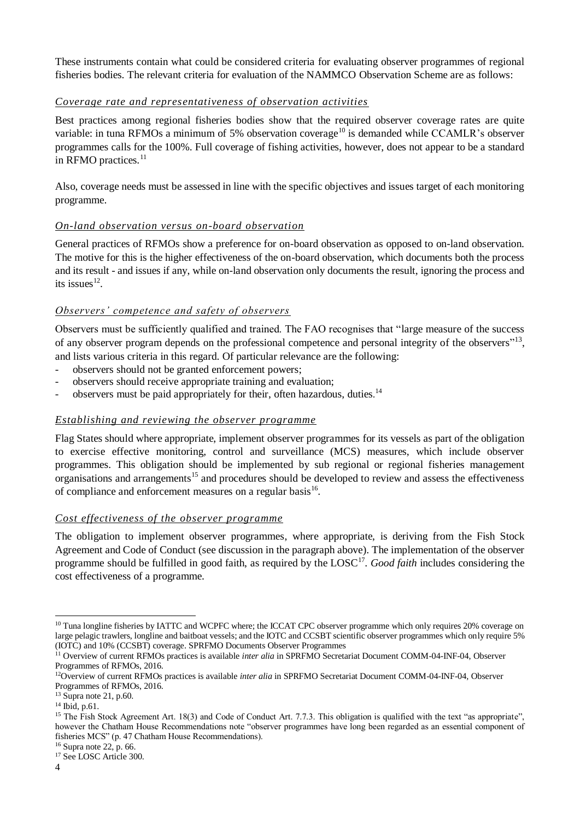These instruments contain what could be considered criteria for evaluating observer programmes of regional fisheries bodies. The relevant criteria for evaluation of the NAMMCO Observation Scheme are as follows:

#### *Coverage rate and representativeness of observation activities*

Best practices among regional fisheries bodies show that the required observer coverage rates are quite variable: in tuna RFMOs a minimum of 5% observation coverage<sup>10</sup> is demanded while CCAMLR's observer programmes calls for the 100%. Full coverage of fishing activities, however, does not appear to be a standard in RFMO practices.<sup>11</sup>

Also, coverage needs must be assessed in line with the specific objectives and issues target of each monitoring programme.

#### *On-land observation versus on-board observation*

General practices of RFMOs show a preference for on-board observation as opposed to on-land observation. The motive for this is the higher effectiveness of the on-board observation, which documents both the process and its result - and issues if any, while on-land observation only documents the result, ignoring the process and its issues $^{12}$ .

#### *Observers' competence and safety of observers*

Observers must be sufficiently qualified and trained. The FAO recognises that "large measure of the success of any observer program depends on the professional competence and personal integrity of the observers"<sup>13</sup>, and lists various criteria in this regard. Of particular relevance are the following:

- observers should not be granted enforcement powers;
- observers should receive appropriate training and evaluation;
- observers must be paid appropriately for their, often hazardous, duties.<sup>14</sup>

#### *Establishing and reviewing the observer programme*

Flag States should where appropriate, implement observer programmes for its vessels as part of the obligation to exercise effective monitoring, control and surveillance (MCS) measures, which include observer programmes. This obligation should be implemented by sub regional or regional fisheries management organisations and arrangements<sup>15</sup> and procedures should be developed to review and assess the effectiveness of compliance and enforcement measures on a regular basis<sup>16</sup>.

#### *Cost effectiveness of the observer programme*

The obligation to implement observer programmes, where appropriate, is deriving from the Fish Stock Agreement and Code of Conduct (see discussion in the paragraph above). The implementation of the observer programme should be fulfilled in good faith, as required by the LOSC<sup>17</sup>. *Good faith* includes considering the cost effectiveness of a programme.

<sup>&</sup>lt;sup>10</sup> Tuna longline fisheries by IATTC and WCPFC where; the ICCAT CPC observer programme which only requires 20% coverage on large pelagic trawlers, longline and baitboat vessels; and the IOTC and CCSBT scientific observer programmes which only require 5% (IOTC) and 10% (CCSBT) coverage. SPRFMO Documents Observer Programmes

<sup>11</sup> Overview of current RFMOs practices is available *inter alia* in SPRFMO Secretariat Document COMM-04-INF-04, Observer Programmes of RFMOs, 2016.

<sup>12</sup>Overview of current RFMOs practices is available *inter alia* in SPRFMO Secretariat Document COMM-04-INF-04, Observer Programmes of RFMOs, 2016.

<sup>13</sup> Supra note 21, p.60.

<sup>14</sup> Ibid, p.61.

<sup>&</sup>lt;sup>15</sup> The Fish Stock Agreement Art. 18(3) and Code of Conduct Art. 7.7.3. This obligation is qualified with the text "as appropriate". however the Chatham House Recommendations note "observer programmes have long been regarded as an essential component of fisheries MCS" (p. 47 Chatham House Recommendations).

 $16$  Supra note 22, p. 66.

<sup>&</sup>lt;sup>17</sup> See LOSC Article 300.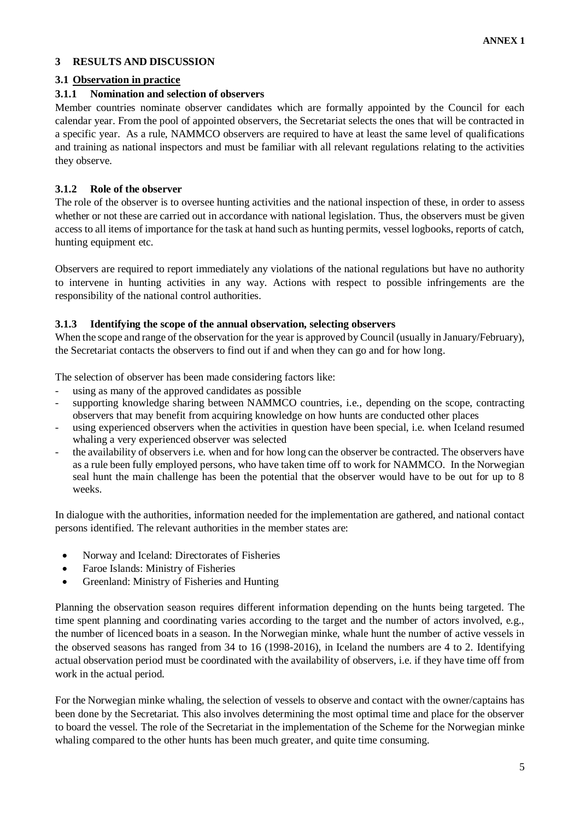## <span id="page-6-0"></span>**3 RESULTS AND DISCUSSION**

## <span id="page-6-1"></span>**3.1 Observation in practice**

## <span id="page-6-2"></span>**3.1.1 Nomination and selection of observers**

Member countries nominate observer candidates which are formally appointed by the Council for each calendar year. From the pool of appointed observers, the Secretariat selects the ones that will be contracted in a specific year. As a rule, NAMMCO observers are required to have at least the same level of qualifications and training as national inspectors and must be familiar with all relevant regulations relating to the activities they observe.

## <span id="page-6-3"></span>**3.1.2 Role of the observer**

The role of the observer is to oversee hunting activities and the national inspection of these, in order to assess whether or not these are carried out in accordance with national legislation. Thus, the observers must be given access to all items of importance for the task at hand such as hunting permits, vessel logbooks, reports of catch, hunting equipment etc.

Observers are required to report immediately any violations of the national regulations but have no authority to intervene in hunting activities in any way. Actions with respect to possible infringements are the responsibility of the national control authorities.

#### <span id="page-6-4"></span>**3.1.3 Identifying the scope of the annual observation, selecting observers**

When the scope and range of the observation for the year is approved by Council (usually in January/February), the Secretariat contacts the observers to find out if and when they can go and for how long.

The selection of observer has been made considering factors like:

- using as many of the approved candidates as possible
- supporting knowledge sharing between NAMMCO countries, i.e., depending on the scope, contracting observers that may benefit from acquiring knowledge on how hunts are conducted other places
- using experienced observers when the activities in question have been special, i.e. when Iceland resumed whaling a very experienced observer was selected
- the availability of observers i.e. when and for how long can the observer be contracted. The observers have as a rule been fully employed persons, who have taken time off to work for NAMMCO. In the Norwegian seal hunt the main challenge has been the potential that the observer would have to be out for up to 8 weeks.

In dialogue with the authorities, information needed for the implementation are gathered, and national contact persons identified. The relevant authorities in the member states are:

- Norway and Iceland: Directorates of Fisheries
- Faroe Islands: Ministry of Fisheries
- Greenland: Ministry of Fisheries and Hunting

Planning the observation season requires different information depending on the hunts being targeted. The time spent planning and coordinating varies according to the target and the number of actors involved, e.g., the number of licenced boats in a season. In the Norwegian minke, whale hunt the number of active vessels in the observed seasons has ranged from 34 to 16 (1998-2016), in Iceland the numbers are 4 to 2. Identifying actual observation period must be coordinated with the availability of observers, i.e. if they have time off from work in the actual period.

For the Norwegian minke whaling, the selection of vessels to observe and contact with the owner/captains has been done by the Secretariat. This also involves determining the most optimal time and place for the observer to board the vessel. The role of the Secretariat in the implementation of the Scheme for the Norwegian minke whaling compared to the other hunts has been much greater, and quite time consuming.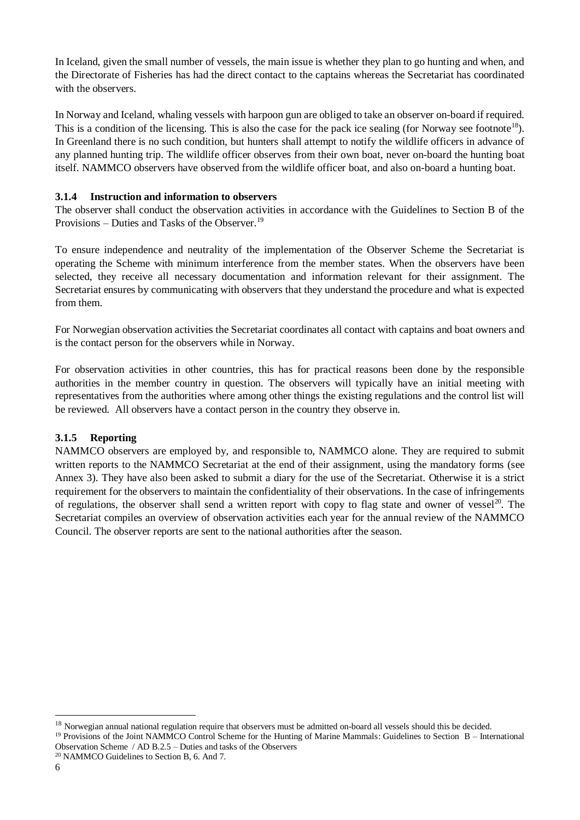In Iceland, given the small number of vessels, the main issue is whether they plan to go hunting and when, and the Directorate of Fisheries has had the direct contact to the captains whereas the Secretariat has coordinated with the observers.

In Norway and Iceland, whaling vessels with harpoon gun are obliged to take an observer on-board if required. This is a condition of the licensing. This is also the case for the pack ice sealing (for Norway see footnote<sup>18</sup>). In Greenland there is no such condition, but hunters shall attempt to notify the wildlife officers in advance of any planned hunting trip. The wildlife officer observes from their own boat, never on-board the hunting boat itself. NAMMCO observers have observed from the wildlife officer boat, and also on-board a hunting boat.

#### <span id="page-7-0"></span>**3.1.4 Instruction and information to observers**

The observer shall conduct the observation activities in accordance with the Guidelines to Section B of the Provisions – Duties and Tasks of the Observer.<sup>19</sup>

To ensure independence and neutrality of the implementation of the Observer Scheme the Secretariat is operating the Scheme with minimum interference from the member states. When the observers have been selected, they receive all necessary documentation and information relevant for their assignment. The Secretariat ensures by communicating with observers that they understand the procedure and what is expected from them.

For Norwegian observation activities the Secretariat coordinates all contact with captains and boat owners and is the contact person for the observers while in Norway.

For observation activities in other countries, this has for practical reasons been done by the responsible authorities in the member country in question. The observers will typically have an initial meeting with representatives from the authorities where among other things the existing regulations and the control list will be reviewed. All observers have a contact person in the country they observe in.

#### <span id="page-7-1"></span>**3.1.5 Reporting**

NAMMCO observers are employed by, and responsible to, NAMMCO alone. They are required to submit written reports to the NAMMCO Secretariat at the end of their assignment, using the mandatory forms (see Annex 3). They have also been asked to submit a diary for the use of the Secretariat. Otherwise it is a strict requirement for the observers to maintain the confidentiality of their observations. In the case of infringements of regulations, the observer shall send a written report with copy to flag state and owner of vessel<sup>20</sup>. The Secretariat compiles an overview of observation activities each year for the annual review of the NAMMCO Council. The observer reports are sent to the national authorities after the season.

1

<sup>&</sup>lt;sup>18</sup> Norwegian annual national regulation require that observers must be admitted on-board all vessels should this be decided.

<sup>&</sup>lt;sup>19</sup> [Provisions of the Joint NAMMCO Control Scheme for the Hunting of Marine Mammals: Guidelines to Section B –](https://nammco.no/wp-content/uploads/2017/09/provisions-of-the-joint-nammco-control-scheme-for-the-hunting-of-marine-mammals.pdf) International [Observation Scheme / AD B.2.5 –](https://nammco.no/wp-content/uploads/2017/09/provisions-of-the-joint-nammco-control-scheme-for-the-hunting-of-marine-mammals.pdf) Duties and tasks of the Observers

<sup>&</sup>lt;sup>20</sup> NAMMCO Guidelines to Section B, 6. And 7.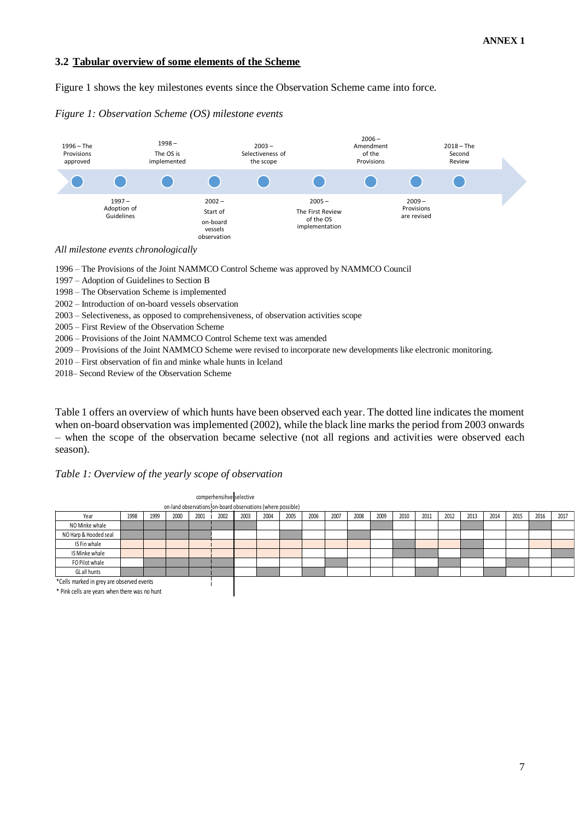#### <span id="page-8-0"></span>**3.2 Tabular overview of some elements of the Scheme**

Figure 1 shows the key milestones events since the Observation Scheme came into force.

#### *Figure 1: Observation Scheme (OS) milestone events*



*All milestone events chronologically* 

1996 – The Provisions of the Joint NAMMCO Control Scheme was approved by NAMMCO Council

1997 – Adoption of Guidelines to Section B

1998 – The Observation Scheme is implemented

2002 – Introduction of on-board vessels observation

2003 – Selectiveness, as opposed to comprehensiveness, of observation activities scope

2005 – First Review of the Observation Scheme

2006 – Provisions of the Joint NAMMCO Control Scheme text was amended

2009 – Provisions of the Joint NAMMCO Scheme were revised to incorporate new developments like electronic monitoring.

2010 – First observation of fin and minke whale hunts in Iceland

2018– Second Review of the Observation Scheme

Table 1 offers an overview of which hunts have been observed each year. The dotted line indicates the moment when on-board observation was implemented (2002), while the black line marks the period from 2003 onwards – when the scope of the observation became selective (not all regions and activities were observed each season).

#### *Table 1: Overview of the yearly scope of observation*

|                                           |      |      |                                                             |      | comperhensihve selective |      |      |      |      |      |      |      |      |      |      |      |      |      |      |      |
|-------------------------------------------|------|------|-------------------------------------------------------------|------|--------------------------|------|------|------|------|------|------|------|------|------|------|------|------|------|------|------|
|                                           |      |      | on-land observations on-board observations (where possible) |      |                          |      |      |      |      |      |      |      |      |      |      |      |      |      |      |      |
| Year                                      | 1998 | 1999 | 2000                                                        | 2001 | 2002                     | 2003 | 2004 | 2005 | 2006 | 2007 | 2008 | 2009 | 2010 | 2011 | 2012 | 2013 | 2014 | 2015 | 2016 | 2017 |
| NO Minke whale                            |      |      |                                                             |      |                          |      |      |      |      |      |      |      |      |      |      |      |      |      |      |      |
| NO Harp & Hooded seal                     |      |      |                                                             |      |                          |      |      |      |      |      |      |      |      |      |      |      |      |      |      |      |
| IS Fin whale                              |      |      |                                                             |      |                          |      |      |      |      |      |      |      |      |      |      |      |      |      |      |      |
| IS Minke whale                            |      |      |                                                             |      |                          |      |      |      |      |      |      |      |      |      |      |      |      |      |      |      |
| FO Pilot whale                            |      |      |                                                             |      |                          |      |      |      |      |      |      |      |      |      |      |      |      |      |      |      |
| GL all hunts                              |      |      |                                                             |      |                          |      |      |      |      |      |      |      |      |      |      |      |      |      |      |      |
| *Cells marked in grey are observed events |      |      |                                                             |      |                          |      |      |      |      |      |      |      |      |      |      |      |      |      |      |      |

\* Pink cells are years when there was no hunt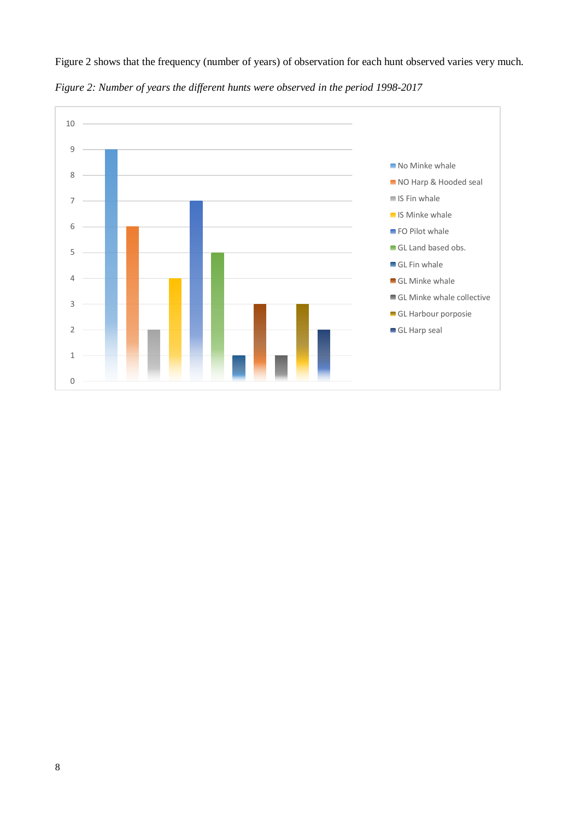

Figure 2 shows that the frequency (number of years) of observation for each hunt observed varies very much.

*Figure 2: Number of years the different hunts were observed in the period 1998-2017*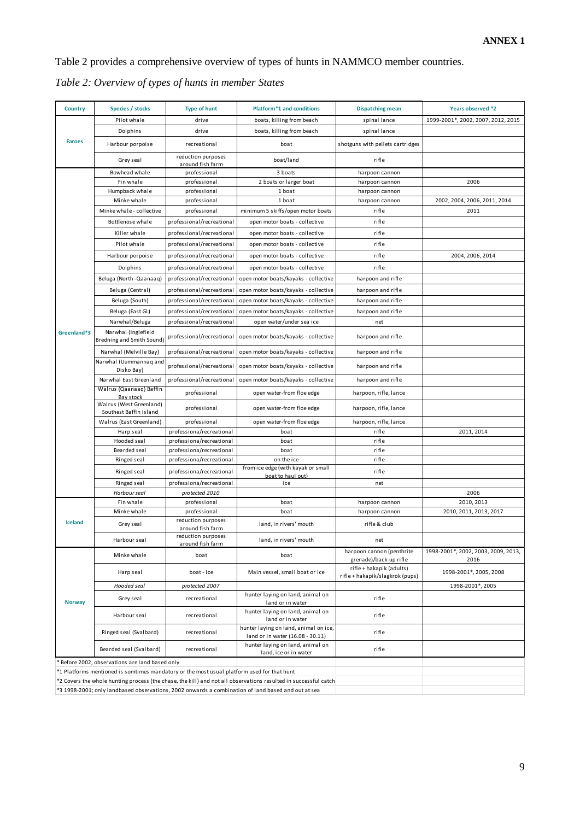Table 2 provides a comprehensive overview of types of hunts in NAMMCO member countries.

| Country       | Species / stocks                                                                           | <b>Type of hunt</b>                    | Platform <sup>*1</sup> and conditions                                                                           | <b>Dispatching mean</b>                            | Years observed *2                   |
|---------------|--------------------------------------------------------------------------------------------|----------------------------------------|-----------------------------------------------------------------------------------------------------------------|----------------------------------------------------|-------------------------------------|
|               | Pilot whale                                                                                | drive                                  | boats, killing from beach                                                                                       | spinal lance                                       | 1999-2001*, 2002, 2007, 2012, 2015  |
|               | Dolphins                                                                                   | drive                                  | boats, killing from beach                                                                                       | spinal lance                                       |                                     |
| <b>Faroes</b> | Harbour porpoise                                                                           | recreational                           | boat                                                                                                            | shotguns with pellets cartridges                   |                                     |
|               | Grey seal                                                                                  | reduction purposes<br>around fish farm | boat/land                                                                                                       | rifle                                              |                                     |
|               | Bowhead whale                                                                              | professional                           | 3 boats                                                                                                         | harpoon cannon                                     |                                     |
|               | Fin whale                                                                                  | professional                           | 2 boats or larger boat                                                                                          | harpoon cannon                                     | 2006                                |
|               | Humpback whale                                                                             | professional                           | 1 boat                                                                                                          | harpoon cannon                                     |                                     |
|               | Minke whale                                                                                | professional                           | 1 boat                                                                                                          | harpoon cannon                                     | 2002, 2004, 2006, 2011, 2014        |
|               | Minke whale - collective                                                                   | professional                           | minimum 5 skiffs/open motor boats                                                                               | rifle                                              | 2011                                |
|               | Bottlenose whale                                                                           | professional/recreational              | open motor boats - collective                                                                                   | rifle                                              |                                     |
|               | Killer whale                                                                               | professional/recreational              | open motor boats - collective                                                                                   | rifle                                              |                                     |
|               | Pilot whale                                                                                | professional/recreational              | open motor boats - collective                                                                                   | rifle                                              |                                     |
|               | Harbour porpoise                                                                           | professional/recreational              | open motor boats - collective                                                                                   | rifle                                              | 2004, 2006, 2014                    |
|               | Dolphins                                                                                   | professional/recreational              | open motor boats - collective                                                                                   | rifle                                              |                                     |
|               | Beluga (North - Qaanaaq)                                                                   | professional/recreational              | open motor boats/kayaks - collective                                                                            | harpoon and rifle                                  |                                     |
|               | Beluga (Central)                                                                           | professional/recreational              | open motor boats/kayaks - collective                                                                            | harpoon and rifle                                  |                                     |
|               | Beluga (South)                                                                             | professional/recreational              | open motor boats/kayaks - collective                                                                            | harpoon and rifle                                  |                                     |
|               | Beluga (East GL)                                                                           | professional/recreational              | open motor boats/kayaks - collective                                                                            | harpoon and rifle                                  |                                     |
|               | Narwhal/Beluga                                                                             | professional/recreational              | open water/under sea ice                                                                                        | net                                                |                                     |
| Greenland*3   | Narwhal (Inglefield<br><b>Bredning and Smith Sound)</b>                                    | professional/recreational              | open motor boats/kayaks - collective                                                                            | harpoon and rifle                                  |                                     |
|               | Narwhal (Melville Bay)                                                                     | professional/recreational              | open motor boats/kayaks - collective                                                                            | harpoon and rifle                                  |                                     |
|               | Narwhal (Uummannag and                                                                     | professional/recreational              | open motor boats/kayaks - collective                                                                            | harpoon and rifle                                  |                                     |
|               | Disko Bay)                                                                                 |                                        |                                                                                                                 |                                                    |                                     |
|               | Narwhal East Greenland<br>Walrus (Qaanaaq) Baffin                                          | professional/recreational              | open motor boats/kayaks - collective                                                                            | harpoon and rifle                                  |                                     |
|               | Bay stock                                                                                  | professional                           | open water-from floe edge                                                                                       | harpoon, rifle, lance                              |                                     |
|               | Walrus (West Greenland)<br>Southest Baffin Island                                          | professional                           | open water-from floe edge                                                                                       | harpoon, rifle, lance                              |                                     |
|               | Walrus (East Greenland)                                                                    | professional                           | open water-from floe edge                                                                                       | harpoon, rifle, lance                              |                                     |
|               | Harp seal                                                                                  | professiona/recreational               | boat                                                                                                            | rifle                                              | 2011, 2014                          |
|               | Hooded seal                                                                                | professiona/recreational               | boat                                                                                                            | rifle                                              |                                     |
|               | Bearded seal                                                                               | professiona/recreational               | boat                                                                                                            | rifle                                              |                                     |
|               | Ringed seal                                                                                | professiona/recreational               | on the ice<br>from ice edge (with kayak or small                                                                | rifle                                              |                                     |
|               | Ringed seal                                                                                | professiona/recreational               | boat to haul out)                                                                                               | rifle                                              |                                     |
|               | Ringed seal                                                                                | professiona/recreational               | ice                                                                                                             | net                                                |                                     |
|               | Harbour seal                                                                               | protected 2010                         |                                                                                                                 |                                                    | 2006                                |
|               | Fin whale                                                                                  | professional                           | boat                                                                                                            | harpoon cannon                                     | 2010, 2013                          |
|               | Minke whale                                                                                | professional<br>reduction purposes     | boat                                                                                                            | harpoon cannon                                     | 2010, 2011, 2013, 2017              |
| Iceland       | Grey seal                                                                                  | around fish farm                       | land, in rivers' mouth                                                                                          | rifle & club                                       |                                     |
|               | Harbour seal                                                                               | reduction purposes                     | land, in rivers' mouth                                                                                          | net                                                |                                     |
|               | Minke whale                                                                                | around fish farm<br>boat               | boat                                                                                                            | harpoon cannon (penthrite                          | 1998-2001*, 2002, 2003, 2009, 2013, |
|               | Harp seal                                                                                  | boat-ice                               | Main vessel, small boat or ice                                                                                  | grenade)/back-up rifle<br>rifle + hakapik (adults) | 2016<br>1998-2001*, 2005, 2008      |
|               | Hooded seal                                                                                | protected 2007                         |                                                                                                                 | rifle + hakapik/slagkrok (pups)                    | 1998-2001*, 2005                    |
|               |                                                                                            |                                        | hunter laying on land, animal on                                                                                |                                                    |                                     |
| <b>Norway</b> | Grey seal                                                                                  | recreational                           | land or in water                                                                                                | rifle                                              |                                     |
|               | Harbour seal                                                                               | recreational                           | hunter laying on land, animal on<br>land or in water                                                            | rifle                                              |                                     |
|               | Ringed seal (Svalbard)                                                                     | recreational                           | hunter laying on land, animal on ice,<br>land or in water (16.08 - 30.11)                                       | rifle                                              |                                     |
|               | Bearded seal (Svalbard)                                                                    | recreational                           | hunter laying on land, animal on<br>land, ice or in water                                                       | rifle                                              |                                     |
|               | * Before 2002, observations are land based only                                            |                                        |                                                                                                                 |                                                    |                                     |
|               | *1 Platforms mentioned is somtimes mandatory or the most usual platform used for that hunt |                                        |                                                                                                                 |                                                    |                                     |
|               |                                                                                            |                                        | *2 Covers the whole hunting process (the chase, the kill) and not all observations resulted in successful catch |                                                    |                                     |
|               |                                                                                            |                                        | *3 1998-2001; only landbased observations, 2002 onwards a combination of land based and out at sea              |                                                    |                                     |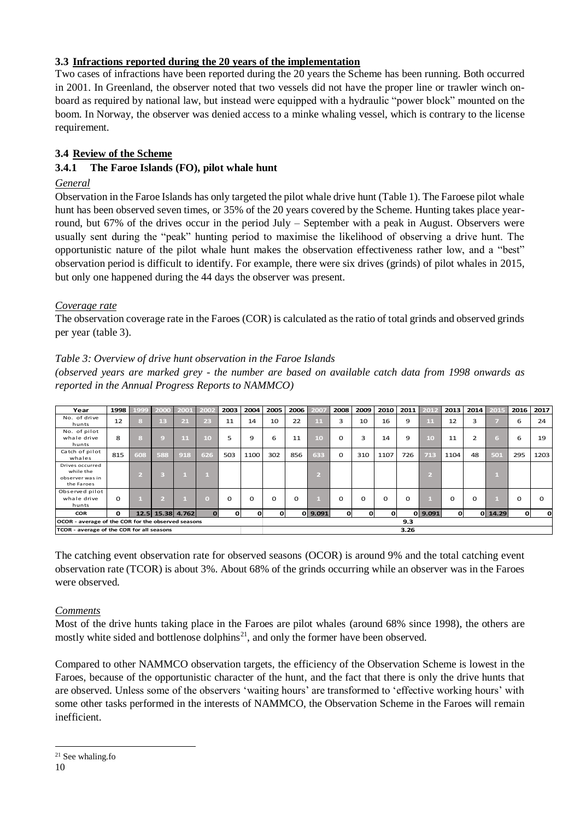## <span id="page-11-0"></span>**3.3 Infractions reported during the 20 years of the implementation**

Two cases of infractions have been reported during the 20 years the Scheme has been running. Both occurred in 2001. In Greenland, the observer noted that two vessels did not have the proper line or trawler winch onboard as required by national law, but instead were equipped with a hydraulic "power block" mounted on the boom. In Norway, the observer was denied access to a minke whaling vessel, which is contrary to the license requirement.

## <span id="page-11-1"></span>**3.4 Review of the Scheme**

## <span id="page-11-2"></span>**3.4.1 The Faroe Islands (FO), pilot whale hunt**

## *General*

Observation in the Faroe Islands has only targeted the pilot whale drive hunt (Table 1). The Faroese pilot whale hunt has been observed seven times, or 35% of the 20 years covered by the Scheme. Hunting takes place yearround, but 67% of the drives occur in the period July – September with a peak in August. Observers were usually sent during the "peak" hunting period to maximise the likelihood of observing a drive hunt. The opportunistic nature of the pilot whale hunt makes the observation effectiveness rather low, and a "best" observation period is difficult to identify. For example, there were six drives (grinds) of pilot whales in 2015, but only one happened during the 44 days the observer was present.

#### *Coverage rate*

The observation coverage rate in the Faroes (COR) is calculated as the ratio of total grinds and observed grinds per year (table 3).

#### *Table 3: Overview of drive hunt observation in the Faroe Islands*

*(observed years are marked grey - the number are based on available catch data from 1998 onwards as reported in the Annual Progress Reports to NAMMCO)*

| Year                                                          | 1998 l   | 1999 | 2000 | 200              | 2002     | 2003 | 2004     | 2005     | <b>2006</b> | 2007    | 2008     | 2009 | <b>2010</b> | 2011 | 2012           | 2013     |                | 2014 2015   | 2016     | 2017         |
|---------------------------------------------------------------|----------|------|------|------------------|----------|------|----------|----------|-------------|---------|----------|------|-------------|------|----------------|----------|----------------|-------------|----------|--------------|
| No. of drive<br>hunts                                         | 12       |      | 13   | 21               | 23       | 11   | 14       | 10       | 22          | 11      | з        | 10   | 16          | 9    | 11             | 12       | 3              |             | 6        | 24           |
| No. of pilot<br>whale drive<br>hunts                          | 8        | 3    | 9    | 11               | 10       | 5    | 9        | 6        | 11          | 10      | $\Omega$ | 3    | 14          | 9    | 10             | 11       | $\overline{2}$ | 6.          | 6        | 19           |
| Catch of pilot<br>whales                                      | 815      | 608  | 588  | 918              | 626      | 503  | 1100     | 302      | 856         | 633     | 0        | 310  | 1107        | 726  | 713            | 1104     | 48             | 501         | 295      | 1203         |
| Drives occurred<br>while the<br>observer was in<br>the Faroes |          |      | B    |                  |          |      |          |          |             | V.      |          |      |             |      | V.             |          |                |             |          |              |
| Observed pilot<br>whale drive<br>hunts                        | $\Omega$ |      | v.   |                  | т        | 0    | $\Omega$ | $\Omega$ | 0           |         | $\Omega$ | 0    | $\Omega$    | Ω    | $\blacksquare$ | $\Omega$ | 0              | ш           | $\Omega$ |              |
| <b>COR</b>                                                    | $\Omega$ |      |      | 12.5 15.38 4.762 | $\Omega$ | 0l   | O        | o        |             | 0 9.091 | οı       | n    | n           |      | 0 9.091        | $\Omega$ |                | $0$   14.29 | 0l       | $\mathbf{o}$ |
| OCOR - average of the COR for the observed seasons            |          |      |      |                  |          |      |          |          |             |         |          |      |             | 9.3  |                |          |                |             |          |              |
| TCOR - average of the COR for all seasons                     |          |      |      |                  |          |      |          |          |             |         |          |      |             | 3.26 |                |          |                |             |          |              |

The catching event observation rate for observed seasons (OCOR) is around 9% and the total catching event observation rate (TCOR) is about 3%. About 68% of the grinds occurring while an observer was in the Faroes were observed.

#### *Comments*

Most of the drive hunts taking place in the Faroes are pilot whales (around 68% since 1998), the others are mostly white sided and bottlenose dolphins<sup>21</sup>, and only the former have been observed.

Compared to other NAMMCO observation targets, the efficiency of the Observation Scheme is lowest in the Faroes, because of the opportunistic character of the hunt, and the fact that there is only the drive hunts that are observed. Unless some of the observers 'waiting hours' are transformed to 'effective working hours' with some other tasks performed in the interests of NAMMCO, the Observation Scheme in the Faroes will remain inefficient.

<sup>1</sup>  $21$  See [whaling.fo](http://www.whaling.fo/en/regulated/450-years-of-statistics/catches/)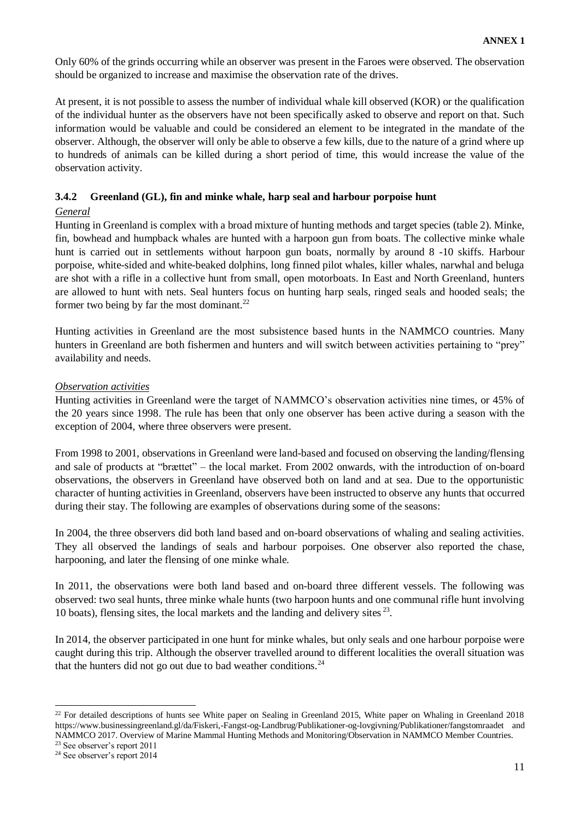Only 60% of the grinds occurring while an observer was present in the Faroes were observed. The observation should be organized to increase and maximise the observation rate of the drives.

At present, it is not possible to assess the number of individual whale kill observed (KOR) or the qualification of the individual hunter as the observers have not been specifically asked to observe and report on that. Such information would be valuable and could be considered an element to be integrated in the mandate of the observer. Although, the observer will only be able to observe a few kills, due to the nature of a grind where up to hundreds of animals can be killed during a short period of time, this would increase the value of the observation activity.

#### <span id="page-12-0"></span>**3.4.2 Greenland (GL), fin and minke whale, harp seal and harbour porpoise hunt**

#### *General*

Hunting in Greenland is complex with a broad mixture of hunting methods and target species (table 2). Minke, fin, bowhead and humpback whales are hunted with a harpoon gun from boats. The collective minke whale hunt is carried out in settlements without harpoon gun boats, normally by around 8 -10 skiffs. Harbour porpoise, white-sided and white-beaked dolphins, long finned pilot whales, killer whales, narwhal and beluga are shot with a rifle in a collective hunt from small, open motorboats. In East and North Greenland, hunters are allowed to hunt with nets. Seal hunters focus on hunting harp seals, ringed seals and hooded seals; the former two being by far the most dominant.<sup>22</sup>

Hunting activities in Greenland are the most subsistence based hunts in the NAMMCO countries. Many hunters in Greenland are both fishermen and hunters and will switch between activities pertaining to "prey" availability and needs.

#### *Observation activities*

Hunting activities in Greenland were the target of NAMMCO's observation activities nine times, or 45% of the 20 years since 1998. The rule has been that only one observer has been active during a season with the exception of 2004, where three observers were present.

From 1998 to 2001, observations in Greenland were land-based and focused on observing the landing/flensing and sale of products at "brættet" – the local market. From 2002 onwards, with the introduction of on-board observations, the observers in Greenland have observed both on land and at sea. Due to the opportunistic character of hunting activities in Greenland, observers have been instructed to observe any hunts that occurred during their stay. The following are examples of observations during some of the seasons:

In 2004, the three observers did both land based and on-board observations of whaling and sealing activities. They all observed the landings of seals and harbour porpoises. One observer also reported the chase, harpooning, and later the flensing of one minke whale.

In 2011, the observations were both land based and on-board three different vessels. The following was observed: two seal hunts, three minke whale hunts (two harpoon hunts and one communal rifle hunt involving 10 boats), flensing sites, the local markets and the landing and delivery sites<sup>23</sup>.

In 2014, the observer participated in one hunt for minke whales, but only seals and one harbour porpoise were caught during this trip. Although the observer travelled around to different localities the overall situation was that the hunters did not go out due to bad weather conditions.<sup>24</sup>

<sup>&</sup>lt;sup>22</sup> For detailed descriptions of hunts see White paper on Sealing in Greenland 2015, White paper on Whaling in Greenland 2018 <https://www.businessingreenland.gl/da/Fiskeri,-Fangst-og-Landbrug/Publikationer-og-lovgivning/Publikationer/fangstomraadet> and NAMMCO 2017. Overview of Marine Mammal Hunting Methods and Monitoring/Observation in NAMMCO Member Countries.

<sup>23</sup> See observer's report 2011

<sup>24</sup> See observer's report 2014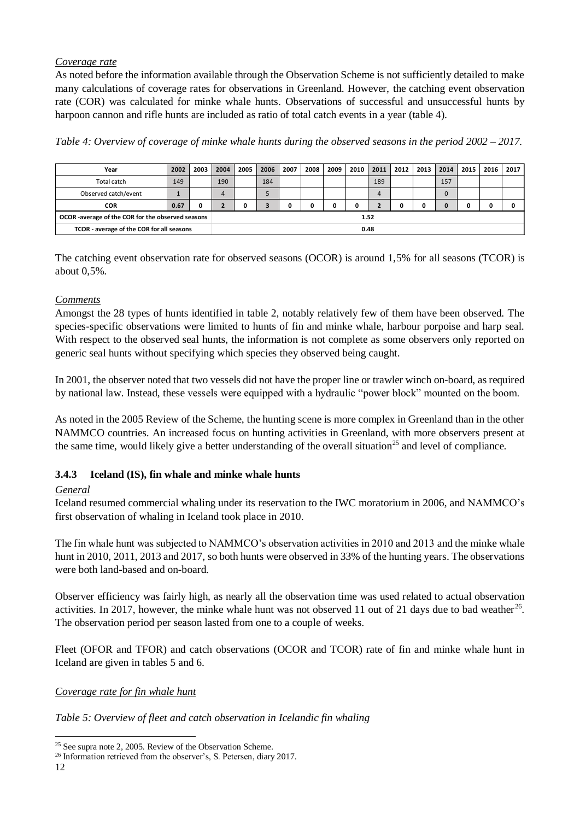## *Coverage rate*

As noted before the information available through the Observation Scheme is not sufficiently detailed to make many calculations of coverage rates for observations in Greenland. However, the catching event observation rate (COR) was calculated for minke whale hunts. Observations of successful and unsuccessful hunts by harpoon cannon and rifle hunts are included as ratio of total catch events in a year (table 4).

*Table 4: Overview of coverage of minke whale hunts during the observed seasons in the period 2002 – 2017.*

| Year                                                                                                                                                                                                                                                                                                                                                                                                                                            | 2002         | 2003 | 2004           | 2005 | 2006 | 2007 | 2008 | 2009 | 2010 | 2011                    | 2012 | 2013 | 2014 | 2015 | 2016 | 2017 |
|-------------------------------------------------------------------------------------------------------------------------------------------------------------------------------------------------------------------------------------------------------------------------------------------------------------------------------------------------------------------------------------------------------------------------------------------------|--------------|------|----------------|------|------|------|------|------|------|-------------------------|------|------|------|------|------|------|
| Total catch                                                                                                                                                                                                                                                                                                                                                                                                                                     | 149          |      | 190            |      | 184  |      |      |      |      | 189                     |      |      | 157  |      |      |      |
| Observed catch/event                                                                                                                                                                                                                                                                                                                                                                                                                            | $\mathbf{1}$ |      | $\overline{4}$ |      | 5    |      |      |      |      | 4                       |      |      | 0    |      |      |      |
| COR                                                                                                                                                                                                                                                                                                                                                                                                                                             | 0.67         | 0    | $\mathbf{2}$   | 0    | 3    | 0    | 0    | 0    | 0    | $\overline{\mathbf{2}}$ | 0    | 0    | 0    | 0    | 0    | 0    |
| OCOR-average of the COR for the observed seasons                                                                                                                                                                                                                                                                                                                                                                                                |              |      |                |      |      |      |      |      |      | 1.52                    |      |      |      |      |      |      |
| TCOR - average of the COR for all seasons                                                                                                                                                                                                                                                                                                                                                                                                       |              |      |                |      |      |      |      |      |      | 0.48                    |      |      |      |      |      |      |
| The catching event observation rate for observed seasons (OCOR) is around 1,5% for all seasons (TCOR) is<br>about 0,5%.                                                                                                                                                                                                                                                                                                                         |              |      |                |      |      |      |      |      |      |                         |      |      |      |      |      |      |
| <b>Comments</b><br>Amongst the 28 types of hunts identified in table 2, notably relatively few of them have been observed. The<br>species-specific observations were limited to hunts of fin and minke whale, harbour porpoise and harp seal.<br>With respect to the observed seal hunts, the information is not complete as some observers only reported on<br>generic seal hunts without specifying which species they observed being caught. |              |      |                |      |      |      |      |      |      |                         |      |      |      |      |      |      |
| In 2001, the observer noted that two vessels did not have the proper line or trawler winch on-board, as required<br>by national law. Instead, these vessels were equipped with a hydraulic "power block" mounted on the boom.                                                                                                                                                                                                                   |              |      |                |      |      |      |      |      |      |                         |      |      |      |      |      |      |
| As noted in the 2005 Review of the Scheme, the hunting scene is more complex in Greenland than in the other<br>NAMMCO countries. An increased focus on hunting activities in Greenland, with more observers present at<br>the same time, would likely give a better understanding of the overall situation <sup>25</sup> and level of compliance.                                                                                               |              |      |                |      |      |      |      |      |      |                         |      |      |      |      |      |      |
| Iceland (IS), fin whale and minke whale hunts<br>3.4.3                                                                                                                                                                                                                                                                                                                                                                                          |              |      |                |      |      |      |      |      |      |                         |      |      |      |      |      |      |
| General<br>Iceland resumed commercial whaling under its reservation to the IWC moratorium in 2006, and NAMMCO's<br>first observation of whaling in Iceland took place in 2010.                                                                                                                                                                                                                                                                  |              |      |                |      |      |      |      |      |      |                         |      |      |      |      |      |      |
| The fin whale hunt was subjected to NAMMCO's observation activities in 2010 and 2013 and the minke whale<br>hunt in 2010, 2011, 2013 and 2017, so both hunts were observed in 33% of the hunting years. The observations<br>were both land-based and on-board.                                                                                                                                                                                  |              |      |                |      |      |      |      |      |      |                         |      |      |      |      |      |      |
| Observer efficiency was fairly high, as nearly all the observation time was used related to actual observation<br>activities. In 2017, however, the minke whale hunt was not observed 11 out of 21 days due to bad weather <sup>26</sup> .<br>The observation period per season lasted from one to a couple of weeks.                                                                                                                           |              |      |                |      |      |      |      |      |      |                         |      |      |      |      |      |      |
| Fleet (OFOR and TFOR) and catch observations (OCOR and TCOR) rate of fin and minke whale hunt in<br>Iceland are given in tables 5 and 6.                                                                                                                                                                                                                                                                                                        |              |      |                |      |      |      |      |      |      |                         |      |      |      |      |      |      |
| Coverage rate for fin whale hunt                                                                                                                                                                                                                                                                                                                                                                                                                |              |      |                |      |      |      |      |      |      |                         |      |      |      |      |      |      |
| Table 5: Overview of fleet and catch observation in Icelandic fin whaling                                                                                                                                                                                                                                                                                                                                                                       |              |      |                |      |      |      |      |      |      |                         |      |      |      |      |      |      |
| <sup>25</sup> See supra note 2, 2005. Review of the Observation Scheme.<br><sup>26</sup> Information retrieved from the observer's, S. Petersen, diary 2017.                                                                                                                                                                                                                                                                                    |              |      |                |      |      |      |      |      |      |                         |      |      |      |      |      |      |

## *Comments*

## <span id="page-13-0"></span>**3.4.3 Iceland (IS), fin whale and minke whale hunts**

#### *General*

#### *Coverage rate for fin whale hunt*

<sup>&</sup>lt;sup>25</sup> See supra note 2, 2005. Review of the Observation Scheme.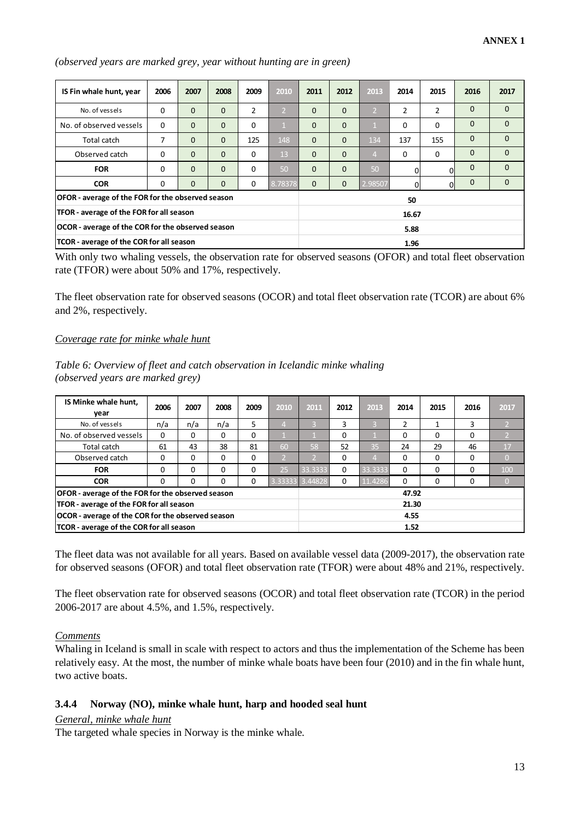| IS Fin whale hunt, year                           | 2006     | 2007         | 2008         | 2009 | 2010         | 2011         | 2012         | 2013           | 2014           | 2015           | 2016         | 2017         |
|---------------------------------------------------|----------|--------------|--------------|------|--------------|--------------|--------------|----------------|----------------|----------------|--------------|--------------|
| No. of vessels                                    | 0        | $\mathbf{0}$ | $\mathbf{0}$ | 2    | $\mathsf{P}$ | $\mathbf{0}$ | $\mathbf{0}$ | 12             | $\overline{2}$ | 2              | $\Omega$     | $\Omega$     |
| No. of observed vessels                           | 0        | $\mathbf{0}$ | $\mathbf{0}$ | 0    |              | $\Omega$     | $\mathbf{0}$ |                | $\Omega$       | $\Omega$       | $\mathbf{0}$ | $\Omega$     |
| Total catch                                       | 7        | $\mathbf{0}$ | $\mathbf{0}$ | 125  | 148          | $\mathbf{0}$ | $\Omega$     | 134            | 137            | 155            | $\mathbf{0}$ | $\mathbf{0}$ |
| Observed catch                                    | $\Omega$ | $\Omega$     | $\Omega$     | 0    | 13           | $\Omega$     | $\Omega$     | $\overline{4}$ | $\Omega$       | 0              | $\mathbf{0}$ | $\Omega$     |
| <b>FOR</b>                                        | $\Omega$ | $\Omega$     | $\Omega$     | 0    | 50           | $\Omega$     | $\Omega$     | 50             | 0              | 0              | $\mathbf{0}$ | $\Omega$     |
| <b>COR</b>                                        | 0        | $\mathbf{0}$ | $\mathbf{0}$ | 0    | 8.78378      | $\mathbf{0}$ | $\mathbf{0}$ | 2.98507        | O              | $\overline{0}$ | $\Omega$     | $\Omega$     |
| OFOR - average of the FOR for the observed season |          |              |              |      |              |              |              |                | 50             |                |              |              |
| TFOR - average of the FOR for all season          |          |              |              |      |              |              |              |                | 16.67          |                |              |              |
| OCOR - average of the COR for the observed season |          |              |              |      |              |              |              |                | 5.88           |                |              |              |
| TCOR - average of the COR for all season          |          |              |              |      |              |              |              |                | 1.96           |                |              |              |

*(observed years are marked grey, year without hunting are in green)*

With only two whaling vessels, the observation rate for observed seasons (OFOR) and total fleet observation rate (TFOR) were about 50% and 17%, respectively.

The fleet observation rate for observed seasons (OCOR) and total fleet observation rate (TCOR) are about 6% and 2%, respectively.

#### *Coverage rate for minke whale hunt*

#### *Table 6: Overview of fleet and catch observation in Icelandic minke whaling (observed years are marked grey)*

| IS Minke whale hunt,                                     | 2006     | 2007 | 2008     | 2009 | 2010 | 2011            | 2012 | 2013    | 2014  | 2015 | 2016 | 2017 |
|----------------------------------------------------------|----------|------|----------|------|------|-----------------|------|---------|-------|------|------|------|
| year                                                     |          |      |          |      |      |                 |      |         |       |      |      |      |
| No. of vessels                                           | n/a      | n/a  | n/a      | 5    |      |                 | 3    |         | 2     |      | 3    |      |
| No. of observed vessels                                  | 0        | 0    | $\Omega$ | 0    |      |                 | 0    |         | 0     | 0    | 0    |      |
| Total catch                                              | 61       | 43   | 38       | 81   | 60   | 58              | 52   | 35      | 24    | 29   | 46   | 17   |
| Observed catch                                           | $\Omega$ | 0    | 0        | 0    |      |                 | 0    |         | 0     | 0    | 0    |      |
| <b>FOR</b>                                               | $\Omega$ | 0    | 0        | 0    | 25   | 33.3333         | 0    | 33.3333 | 0     | 0    | 0    | 100  |
| <b>COR</b>                                               | 0        | 0    | 0        | 0    |      | 3.33333 3.44828 | 0    | 11.4286 | 0     | 0    | 0    |      |
| <b>OFOR</b> - average of the FOR for the observed season |          |      |          |      |      |                 |      |         | 47.92 |      |      |      |
| TFOR - average of the FOR for all season                 |          |      |          |      |      |                 |      |         | 21.30 |      |      |      |
| OCOR - average of the COR for the observed season        |          |      |          |      |      |                 |      |         | 4.55  |      |      |      |
| TCOR - average of the COR for all season                 |          |      |          |      |      |                 |      |         | 1.52  |      |      |      |

The fleet data was not available for all years. Based on available vessel data (2009-2017), the observation rate for observed seasons (OFOR) and total fleet observation rate (TFOR) were about 48% and 21%, respectively.

The fleet observation rate for observed seasons (OCOR) and total fleet observation rate (TCOR) in the period 2006-2017 are about 4.5%, and 1.5%, respectively.

#### *Comments*

Whaling in Iceland is small in scale with respect to actors and thus the implementation of the Scheme has been relatively easy. At the most, the number of minke whale boats have been four (2010) and in the fin whale hunt, two active boats.

#### <span id="page-14-0"></span>**3.4.4 Norway (NO), minke whale hunt, harp and hooded seal hunt**

#### *General, minke whale hunt*

The targeted whale species in Norway is the minke whale.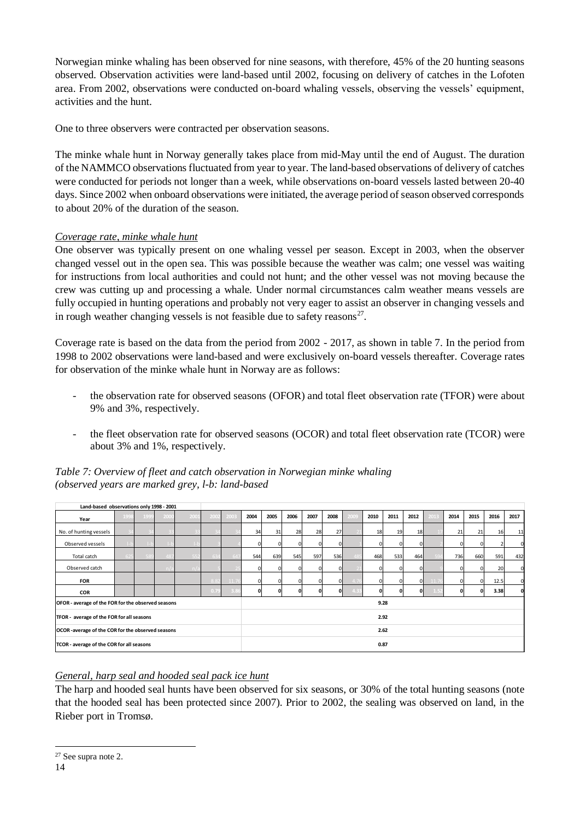Norwegian minke whaling has been observed for nine seasons, with therefore, 45% of the 20 hunting seasons observed. Observation activities were land-based until 2002, focusing on delivery of catches in the Lofoten area. From 2002, observations were conducted on-board whaling vessels, observing the vessels' equipment, activities and the hunt.

One to three observers were contracted per observation seasons.

The minke whale hunt in Norway generally takes place from mid-May until the end of August. The duration of the NAMMCO observations fluctuated from year to year. The land-based observations of delivery of catches were conducted for periods not longer than a week, while observations on-board vessels lasted between 20-40 days. Since 2002 when onboard observations were initiated, the average period of season observed corresponds to about 20% of the duration of the season.

## *Coverage rate, minke whale hunt*

One observer was typically present on one whaling vessel per season. Except in 2003, when the observer changed vessel out in the open sea. This was possible because the weather was calm; one vessel was waiting for instructions from local authorities and could not hunt; and the other vessel was not moving because the crew was cutting up and processing a whale. Under normal circumstances calm weather means vessels are fully occupied in hunting operations and probably not very eager to assist an observer in changing vessels and in rough weather changing vessels is not feasible due to safety reasons $27$ .

Coverage rate is based on the data from the period from 2002 - 2017, as shown in table 7. In the period from 1998 to 2002 observations were land-based and were exclusively on-board vessels thereafter. Coverage rates for observation of the minke whale hunt in Norway are as follows:

- the observation rate for observed seasons (OFOR) and total fleet observation rate (TFOR) were about 9% and 3%, respectively.
- the fleet observation rate for observed seasons (OCOR) and total fleet observation rate (TCOR) were about 3% and 1%, respectively.

| Land-based observations only 1998 - 2001           |     |      |      |      |      |      |          |      |      |          |      |      |      |      |          |      |          |          |      |      |
|----------------------------------------------------|-----|------|------|------|------|------|----------|------|------|----------|------|------|------|------|----------|------|----------|----------|------|------|
| Year                                               | 199 | 1999 | 2000 | 2001 | 2002 | 2003 | 2004     | 2005 | 2006 | 2007     | 2008 | 2009 | 2010 | 2011 | 2012     | 2013 | 2014     | 2015     | 2016 | 2017 |
| No. of hunting vessels                             |     |      |      |      |      |      | 34       | 31   | 28   | 28       | 27   |      | 18   | 19   | 18       |      | 21       | 21       | 16   | 11   |
| Observed vessels                                   |     |      |      |      |      |      | $\Omega$ |      |      | $\Omega$ |      |      |      |      | $\Omega$ |      | $\Omega$ | $\Omega$ |      |      |
| Total catch                                        |     |      |      |      |      |      | 544      | 639  | 545  | 597      | 536  |      | 468  | 533  | 464      |      | 736      | 660      | 591  | 432  |
| Observed catch                                     |     |      |      |      |      |      |          |      |      | $\Omega$ |      |      |      |      | $\Omega$ |      |          |          | 20   |      |
| <b>FOR</b>                                         |     |      |      |      |      |      | 0        |      |      | $\Omega$ |      |      |      |      | $\Omega$ |      |          |          | 12.5 |      |
| <b>COR</b>                                         |     |      |      |      | 0.79 |      | 0        | 0.   |      | $\Omega$ |      |      | O    |      | οI       |      | 0        | 0        | 3.38 |      |
| OFOR - average of the FOR for the observed seasons |     |      |      |      |      |      |          |      |      |          |      |      | 9.28 |      |          |      |          |          |      |      |
| TFOR - average of the FOR for all seasons          |     |      |      |      |      |      |          |      |      |          |      |      |      | 2.92 |          |      |          |          |      |      |
| OCOR-average of the COR for the observed seasons   |     |      |      |      |      |      |          |      |      |          |      |      |      | 2.62 |          |      |          |          |      |      |
| TCOR - average of the COR for all seasons          |     |      |      |      |      |      |          |      |      |          |      |      | 0.87 |      |          |      |          |          |      |      |

#### *Table 7: Overview of fleet and catch observation in Norwegian minke whaling (observed years are marked grey, l-b: land-based*

## *General, harp seal and hooded seal pack ice hunt*

The harp and hooded seal hunts have been observed for six seasons, or 30% of the total hunting seasons (note that the hooded seal has been protected since 2007). Prior to 2002, the sealing was observed on land, in the Rieber port in Tromsø.

<sup>1</sup> <sup>27</sup> See supra note 2.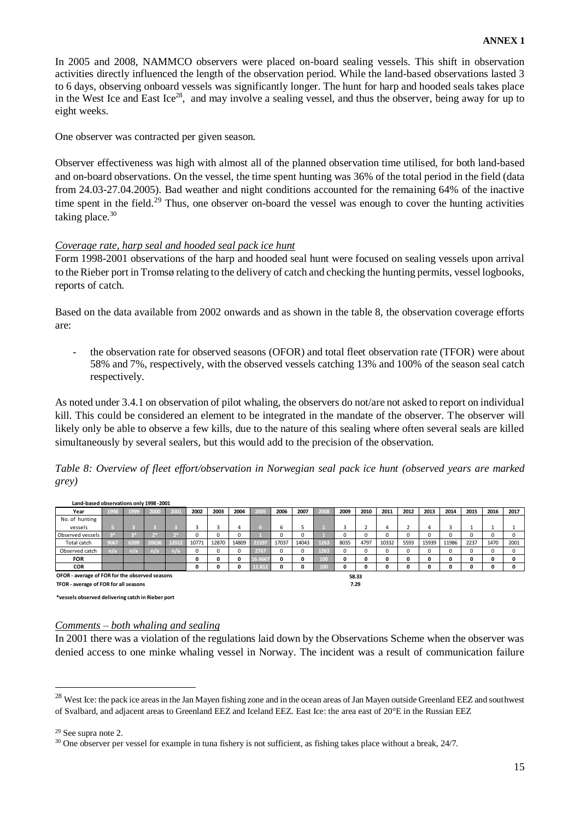In 2005 and 2008, NAMMCO observers were placed on-board sealing vessels. This shift in observation activities directly influenced the length of the observation period. While the land-based observations lasted 3 to 6 days, observing onboard vessels was significantly longer. The hunt for harp and hooded seals takes place in the West Ice and East Ice<sup>28</sup>, and may involve a sealing vessel, and thus the observer, being away for up to eight weeks.

One observer was contracted per given season.

Observer effectiveness was high with almost all of the planned observation time utilised, for both land-based and on-board observations. On the vessel, the time spent hunting was 36% of the total period in the field (data from 24.03-27.04.2005). Bad weather and night conditions accounted for the remaining 64% of the inactive time spent in the field.<sup>29</sup> Thus, one observer on-board the vessel was enough to cover the hunting activities taking place. $30$ 

#### *Coverage rate, harp seal and hooded seal pack ice hunt*

Form 1998-2001 observations of the harp and hooded seal hunt were focused on sealing vessels upon arrival to the Rieber port in Tromsø relating to the delivery of catch and checking the hunting permits, vessel logbooks, reports of catch.

Based on the data available from 2002 onwards and as shown in the table 8, the observation coverage efforts are:

- the observation rate for observed seasons (OFOR) and total fleet observation rate (TFOR) were about 58% and 7%, respectively, with the observed vessels catching 13% and 100% of the season seal catch respectively.

As noted under 3.4.1 on observation of pilot whaling, the observers do not/are not asked to report on individual kill. This could be considered an element to be integrated in the mandate of the observer. The observer will likely only be able to observe a few kills, due to the nature of this sealing where often several seals are killed simultaneously by several sealers, but this would add to the precision of the observation.

*Table 8: Overview of fleet effort/observation in Norwegian seal pack ice hunt (observed years are marked grey)*

| Land-based Observations Only 1990-2001         |      |      |       |       |       |          |       |         |       |       |      |      |       |              |      |       |       |              |          |      |
|------------------------------------------------|------|------|-------|-------|-------|----------|-------|---------|-------|-------|------|------|-------|--------------|------|-------|-------|--------------|----------|------|
| Year                                           | 1998 | 1999 | 2000  | 2001  | 2002  | 2003     | 2004  | 2005    | 2006  | 2007  | 2008 | 2009 | 2010  | 2011         | 2012 | 2013  | 2014  | 2015         | 2016     | 2017 |
| No. of hunting                                 |      |      |       |       |       |          |       |         |       |       |      |      |       |              |      |       |       |              |          |      |
| vessels                                        |      |      |       |       |       |          | л     |         | b     |       |      |      |       | $\mathbf{a}$ |      | д     |       |              |          |      |
| Observed vessels                               |      |      |       |       |       |          |       |         |       |       |      | 0    |       |              | O    |       |       | 0            | O        |      |
| Total catch                                    | 9067 | 6399 | 20636 | 12017 | 10771 | 12870    | 14809 | 21597   | 17037 | 14043 | 1263 | 8035 | 4797  | 10332        | 5593 | 15939 | 11986 | 2237         | 1470     | 2001 |
| Observed catch                                 | n/a  | n/a  | n/a   | n V.  |       | $\Omega$ |       | 2767    | 0     | 0     | 1263 | 0    |       |              | 0    | Ω     |       | 0            | $\Omega$ |      |
| <b>FOR</b>                                     |      |      |       |       | 0     | 0        | 0     | 16.6667 | 0     | 0     | 100  | 0    | 0     |              | 0    | 0     |       | $\mathbf{0}$ | 0        |      |
| <b>COR</b>                                     |      |      |       |       | 0     | 0        | ٥     | 12.812  | 0     | 0     | 100  | 0    |       | n            | 0    | 0     |       | 0            | 0        |      |
| OFOR - average of FOR for the observed seasons |      |      |       |       |       |          |       |         |       |       |      |      | 58.33 |              |      |       |       |              |          |      |
| TFOR - average of FOR for all seasons          |      |      |       |       |       |          |       |         |       |       |      |      | 7.29  |              |      |       |       |              |          |      |

**\*vessels observed delivering catch in Rieber port**

**Land-based observations only 1998 -2001**

#### *Comments – both whaling and sealing*

In 2001 there was a violation of the regulations laid down by the Observations Scheme when the observer was denied access to one minke whaling vessel in Norway. The incident was a result of communication failure

<sup>29</sup> See supra note 2.

<sup>&</sup>lt;sup>28</sup> West Ice: the pack ice areas in the Jan Mayen fishing zone and in the ocean areas of Jan Mayen outside Greenland EEZ and southwest of Svalbard, and adjacent areas to Greenland EEZ and Iceland EEZ. East Ice: the area east of 20°E in the Russian EEZ

 $30$  One observer per vessel for example in tuna fishery is not sufficient, as fishing takes place without a break,  $24/7$ .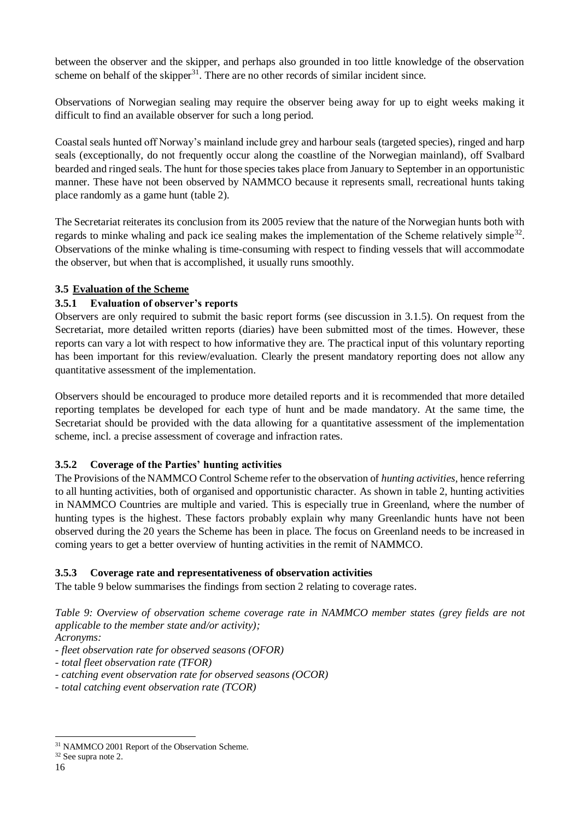between the observer and the skipper, and perhaps also grounded in too little knowledge of the observation scheme on behalf of the skipper $31$ . There are no other records of similar incident since.

Observations of Norwegian sealing may require the observer being away for up to eight weeks making it difficult to find an available observer for such a long period.

Coastal seals hunted off Norway's mainland include grey and harbour seals (targeted species), ringed and harp seals (exceptionally, do not frequently occur along the coastline of the Norwegian mainland), off Svalbard bearded and ringed seals. The hunt for those species takes place from January to September in an opportunistic manner. These have not been observed by NAMMCO because it represents small, recreational hunts taking place randomly as a game hunt (table 2).

The Secretariat reiterates its conclusion from its 2005 review that the nature of the Norwegian hunts both with regards to minke whaling and pack ice sealing makes the implementation of the Scheme relatively simple<sup>32</sup>. Observations of the minke whaling is time-consuming with respect to finding vessels that will accommodate the observer, but when that is accomplished, it usually runs smoothly.

## <span id="page-17-0"></span>**3.5 Evaluation of the Scheme**

## <span id="page-17-1"></span>**3.5.1 Evaluation of observer's reports**

Observers are only required to submit the basic report forms (see discussion in 3.1.5). On request from the Secretariat, more detailed written reports (diaries) have been submitted most of the times. However, these reports can vary a lot with respect to how informative they are. The practical input of this voluntary reporting has been important for this review/evaluation. Clearly the present mandatory reporting does not allow any quantitative assessment of the implementation.

Observers should be encouraged to produce more detailed reports and it is recommended that more detailed reporting templates be developed for each type of hunt and be made mandatory. At the same time, the Secretariat should be provided with the data allowing for a quantitative assessment of the implementation scheme, incl. a precise assessment of coverage and infraction rates.

## <span id="page-17-2"></span>**3.5.2 Coverage of the Parties' hunting activities**

The Provisions of the NAMMCO Control Scheme refer to the observation of *hunting activities,* hence referring to all hunting activities, both of organised and opportunistic character. As shown in table 2, hunting activities in NAMMCO Countries are multiple and varied. This is especially true in Greenland, where the number of hunting types is the highest. These factors probably explain why many Greenlandic hunts have not been observed during the 20 years the Scheme has been in place. The focus on Greenland needs to be increased in coming years to get a better overview of hunting activities in the remit of NAMMCO.

#### <span id="page-17-3"></span>**3.5.3 Coverage rate and representativeness of observation activities**

The table 9 below summarises the findings from section 2 relating to coverage rates.

*Table 9: Overview of observation scheme coverage rate in NAMMCO member states (grey fields are not applicable to the member state and/or activity); Acronyms:* 

*- fleet observation rate for observed seasons (OFOR)*

*- total fleet observation rate (TFOR)*

*- catching event observation rate for observed seasons (OCOR)*

*- total catching event observation rate (TCOR)*

<sup>31</sup> NAMMCO 2001 Report of the Observation Scheme.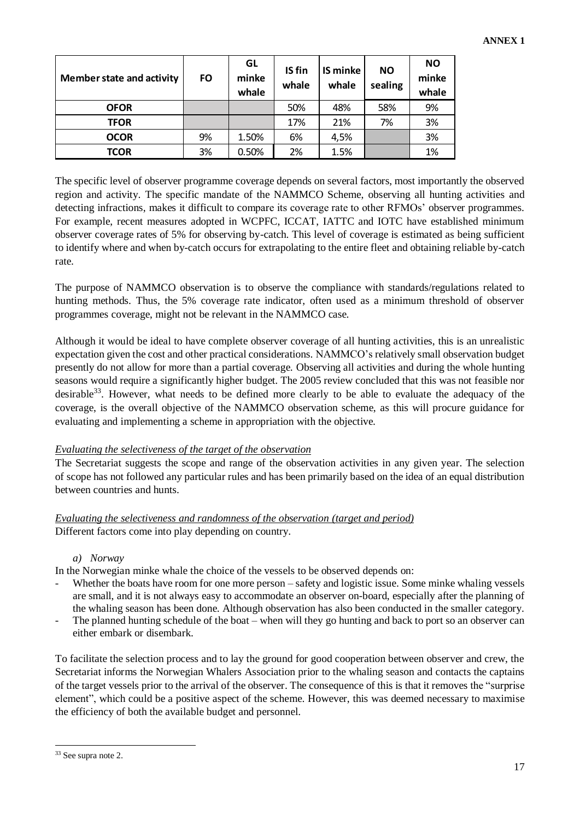| <b>Member state and activity</b> | FO | GL<br>minke<br>whale | <b>IS</b> fin<br>whale | IS minke<br>whale | <b>NO</b><br>sealing | <b>NO</b><br>minke<br>whale |
|----------------------------------|----|----------------------|------------------------|-------------------|----------------------|-----------------------------|
| <b>OFOR</b>                      |    |                      | 50%                    | 48%               | 58%                  | 9%                          |
| <b>TFOR</b>                      |    |                      | 17%                    | 21%               | 7%                   | 3%                          |
| <b>OCOR</b>                      | 9% | 1.50%                | 6%                     | 4,5%              |                      | 3%                          |
| <b>TCOR</b>                      | 3% | 0.50%                | 2%                     | 1.5%              |                      | 1%                          |

The specific level of observer programme coverage depends on several factors, most importantly the observed region and activity. The specific mandate of the NAMMCO Scheme, observing all hunting activities and detecting infractions, makes it difficult to compare its coverage rate to other RFMOs' observer programmes. For example, recent measures adopted in WCPFC, ICCAT, IATTC and IOTC have established minimum observer coverage rates of 5% for observing by-catch. This level of coverage is estimated as being sufficient to identify where and when by-catch occurs for extrapolating to the entire fleet and obtaining reliable by-catch rate.

The purpose of NAMMCO observation is to observe the compliance with standards/regulations related to hunting methods. Thus, the 5% coverage rate indicator, often used as a minimum threshold of observer programmes coverage, might not be relevant in the NAMMCO case.

Although it would be ideal to have complete observer coverage of all hunting activities, this is an unrealistic expectation given the cost and other practical considerations. NAMMCO's relatively small observation budget presently do not allow for more than a partial coverage. Observing all activities and during the whole hunting seasons would require a significantly higher budget. The 2005 review concluded that this was not feasible nor desirable<sup>33</sup>. However, what needs to be defined more clearly to be able to evaluate the adequacy of the coverage, is the overall objective of the NAMMCO observation scheme, as this will procure guidance for evaluating and implementing a scheme in appropriation with the objective.

#### *Evaluating the selectiveness of the target of the observation*

The Secretariat suggests the scope and range of the observation activities in any given year. The selection of scope has not followed any particular rules and has been primarily based on the idea of an equal distribution between countries and hunts.

*Evaluating the selectiveness and randomness of the observation (target and period)* Different factors come into play depending on country.

#### *a) Norway*

In the Norwegian minke whale the choice of the vessels to be observed depends on:

- Whether the boats have room for one more person safety and logistic issue. Some minke whaling vessels are small, and it is not always easy to accommodate an observer on-board, especially after the planning of the whaling season has been done. Although observation has also been conducted in the smaller category.
- The planned hunting schedule of the boat when will they go hunting and back to port so an observer can either embark or disembark.

To facilitate the selection process and to lay the ground for good cooperation between observer and crew, the Secretariat informs the Norwegian Whalers Association prior to the whaling season and contacts the captains of the target vessels prior to the arrival of the observer. The consequence of this is that it removes the "surprise element", which could be a positive aspect of the scheme. However, this was deemed necessary to maximise the efficiency of both the available budget and personnel.

1

<sup>33</sup> See supra note 2.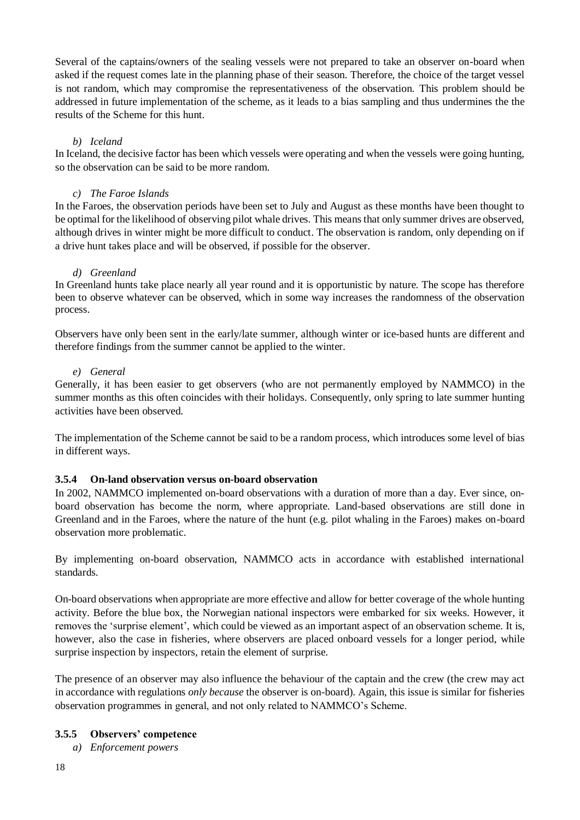Several of the captains/owners of the sealing vessels were not prepared to take an observer on-board when asked if the request comes late in the planning phase of their season. Therefore, the choice of the target vessel is not random, which may compromise the representativeness of the observation. This problem should be addressed in future implementation of the scheme, as it leads to a bias sampling and thus undermines the the results of the Scheme for this hunt.

#### *b) Iceland*

In Iceland, the decisive factor has been which vessels were operating and when the vessels were going hunting, so the observation can be said to be more random.

#### *c) The Faroe Islands*

In the Faroes, the observation periods have been set to July and August as these months have been thought to be optimal for the likelihood of observing pilot whale drives. This means that only summer drives are observed, although drives in winter might be more difficult to conduct. The observation is random, only depending on if a drive hunt takes place and will be observed, if possible for the observer.

#### *d) Greenland*

In Greenland hunts take place nearly all year round and it is opportunistic by nature. The scope has therefore been to observe whatever can be observed, which in some way increases the randomness of the observation process.

Observers have only been sent in the early/late summer, although winter or ice-based hunts are different and therefore findings from the summer cannot be applied to the winter.

#### *e) General*

Generally, it has been easier to get observers (who are not permanently employed by NAMMCO) in the summer months as this often coincides with their holidays. Consequently, only spring to late summer hunting activities have been observed.

The implementation of the Scheme cannot be said to be a random process, which introduces some level of bias in different ways.

#### <span id="page-19-0"></span>**3.5.4 On-land observation versus on-board observation**

In 2002, NAMMCO implemented on-board observations with a duration of more than a day. Ever since, onboard observation has become the norm, where appropriate. Land-based observations are still done in Greenland and in the Faroes, where the nature of the hunt (e.g. pilot whaling in the Faroes) makes on-board observation more problematic.

By implementing on-board observation, NAMMCO acts in accordance with established international standards.

On-board observations when appropriate are more effective and allow for better coverage of the whole hunting activity. Before the blue box, the Norwegian national inspectors were embarked for six weeks. However, it removes the 'surprise element', which could be viewed as an important aspect of an observation scheme. It is, however, also the case in fisheries, where observers are placed onboard vessels for a longer period, while surprise inspection by inspectors, retain the element of surprise.

The presence of an observer may also influence the behaviour of the captain and the crew (the crew may act in accordance with regulations *only because* the observer is on-board). Again, this issue is similar for fisheries observation programmes in general, and not only related to NAMMCO's Scheme.

#### <span id="page-19-1"></span>**3.5.5 Observers' competence**

*a) Enforcement powers*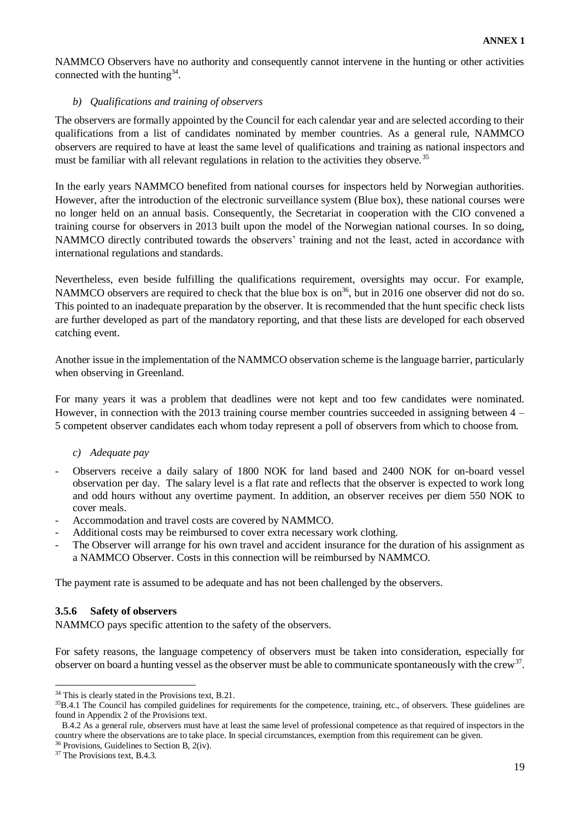NAMMCO Observers have no authority and consequently cannot intervene in the hunting or other activities connected with the hunting $34$ .

#### *b) Qualifications and training of observers*

The observers are formally appointed by the Council for each calendar year and are selected according to their qualifications from a list of candidates nominated by member countries. As a general rule, NAMMCO observers are required to have at least the same level of qualifications and training as national inspectors and must be familiar with all relevant regulations in relation to the activities they observe.<sup>35</sup>

In the early years NAMMCO benefited from national courses for inspectors held by Norwegian authorities. However, after the introduction of the electronic surveillance system (Blue box), these national courses were no longer held on an annual basis. Consequently, the Secretariat in cooperation with the CIO convened a training course for observers in 2013 built upon the model of the Norwegian national courses. In so doing, NAMMCO directly contributed towards the observers' training and not the least, acted in accordance with international regulations and standards.

Nevertheless, even beside fulfilling the qualifications requirement, oversights may occur. For example, NAMMCO observers are required to check that the blue box is on<sup>36</sup>, but in 2016 one observer did not do so. This pointed to an inadequate preparation by the observer. It is recommended that the hunt specific check lists are further developed as part of the mandatory reporting, and that these lists are developed for each observed catching event.

Another issue in the implementation of the NAMMCO observation scheme is the language barrier, particularly when observing in Greenland.

For many years it was a problem that deadlines were not kept and too few candidates were nominated. However, in connection with the 2013 training course member countries succeeded in assigning between 4 – 5 competent observer candidates each whom today represent a poll of observers from which to choose from.

#### *c) Adequate pay*

- Observers receive a daily salary of 1800 NOK for land based and 2400 NOK for on-board vessel observation per day. The salary level is a flat rate and reflects that the observer is expected to work long and odd hours without any overtime payment. In addition, an observer receives per diem 550 NOK to cover meals.
- Accommodation and travel costs are covered by NAMMCO.
- Additional costs may be reimbursed to cover extra necessary work clothing.
- The Observer will arrange for his own travel and accident insurance for the duration of his assignment as a NAMMCO Observer. Costs in this connection will be reimbursed by NAMMCO.

The payment rate is assumed to be adequate and has not been challenged by the observers.

#### <span id="page-20-0"></span>**3.5.6 Safety of observers**

NAMMCO pays specific attention to the safety of the observers.

For safety reasons, the language competency of observers must be taken into consideration, especially for observer on board a hunting vessel as the observer must be able to communicate spontaneously with the crew<sup>37</sup>.

<sup>&</sup>lt;sup>34</sup> This is clearly stated in the Provisions text, B.21.

 $35B.4.1$  The Council has compiled guidelines for requirements for the competence, training, etc., of observers. These guidelines are found in Appendix 2 of the Provisions text.

B.4.2 As a general rule, observers must have at least the same level of professional competence as that required of inspectors in the country where the observations are to take place. In special circumstances, exemption from this requirement can be given.

<sup>36</sup> Provisions, Guidelines to Section B, 2(iv).

<sup>&</sup>lt;sup>37</sup> The Provisions text, B.4.3.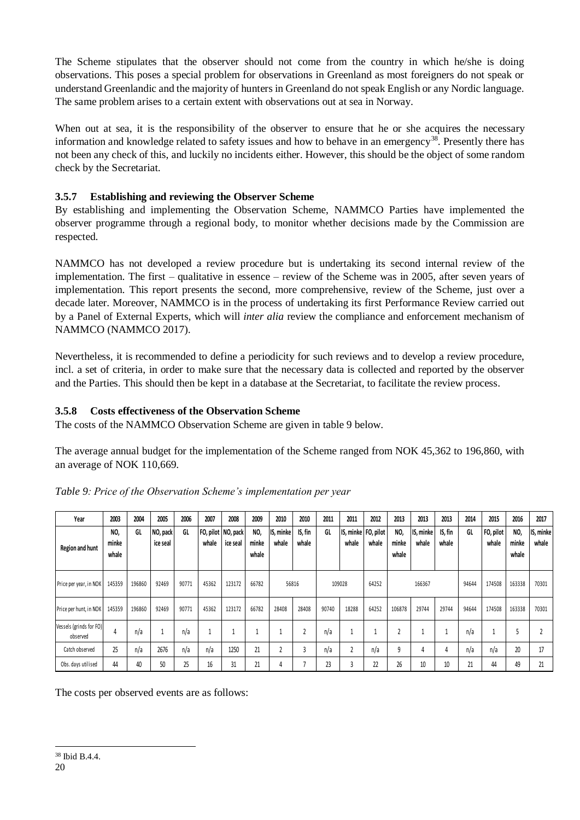The Scheme stipulates that the observer should not come from the country in which he/she is doing observations. This poses a special problem for observations in Greenland as most foreigners do not speak or understand Greenlandic and the majority of hunters in Greenland do not speak English or any Nordic language. The same problem arises to a certain extent with observations out at sea in Norway.

When out at sea, it is the responsibility of the observer to ensure that he or she acquires the necessary information and knowledge related to safety issues and how to behave in an emergency<sup>38</sup>. Presently there has not been any check of this, and luckily no incidents either. However, this should be the object of some random check by the Secretariat.

## <span id="page-21-0"></span>**3.5.7 Establishing and reviewing the Observer Scheme**

By establishing and implementing the Observation Scheme, NAMMCO Parties have implemented the observer programme through a regional body, to monitor whether decisions made by the Commission are respected.

NAMMCO has not developed a review procedure but is undertaking its second internal review of the implementation. The first – qualitative in essence – review of the Scheme was in 2005, after seven years of implementation. This report presents the second, more comprehensive, review of the Scheme, just over a decade later. Moreover, NAMMCO is in the process of undertaking its first Performance Review carried out by a Panel of External Experts, which will *inter alia* review the compliance and enforcement mechanism of NAMMCO (NAMMCO 2017).

Nevertheless, it is recommended to define a periodicity for such reviews and to develop a review procedure, incl. a set of criteria, in order to make sure that the necessary data is collected and reported by the observer and the Parties. This should then be kept in a database at the Secretariat, to facilitate the review process.

## <span id="page-21-1"></span>**3.5.8 Costs effectiveness of the Observation Scheme**

The costs of the NAMMCO Observation Scheme are given in table 9 below.

The average annual budget for the implementation of the Scheme ranged from NOK 45,362 to 196,860, with an average of NOK 110,669.

| Year                                | 2003                  | 2004   | 2005                 | 2006  | 2007  | 2008                           | 2009                  | 2010               | 2010             | 2011  | 2011           | 2012                           | 2013                    | 2013               | 2013             | 2014  | 2015               | 2016                  | 2017               |
|-------------------------------------|-----------------------|--------|----------------------|-------|-------|--------------------------------|-----------------------|--------------------|------------------|-------|----------------|--------------------------------|-------------------------|--------------------|------------------|-------|--------------------|-----------------------|--------------------|
| Region and hunt                     | NO,<br>minke<br>whale | GL     | NO, pack<br>ice seal | GL    | whale | FO, pilot NO, pack<br>ice seal | NO,<br>minke<br>whale | IS, minke<br>whale | IS, fin<br>whale | GL    | whale          | IS, minke   FO, pilot<br>whale | NO,<br>minke<br>whale   | IS, minke<br>whale | IS, fin<br>whale | GL    | FO, pilot<br>whale | NO,<br>minke<br>whale | IS, minke<br>whale |
| Price per year, in NOK              | 145359                | 196860 | 92469                | 90771 | 45362 | 123172                         | 66782                 | 56816              |                  |       | 109028         | 64252                          |                         | 166367             |                  | 94644 | 174508             | 163338                | 70301              |
| Price per hunt, in NOK              | 145359                | 196860 | 92469                | 90771 | 45362 | 123172                         | 66782                 | 28408              | 28408            | 90740 | 18288          | 64252                          | 106878                  | 29744              | 29744            | 94644 | 174508             | 163338                | 70301              |
| Vessels (grinds for FO)<br>observed | 4                     | n/a    | 1                    | n/a   |       |                                |                       |                    |                  | n/a   |                |                                | $\overline{\mathbf{2}}$ |                    |                  | n/a   |                    |                       |                    |
| Catch observed                      | 25                    | n/a    | 2676                 | n/a   | n/a   | 1250                           | 21                    | $\overline{2}$     | 3                | n/a   | $\overline{2}$ | n/a                            | 9                       | 4                  | 4                | n/a   | n/a                | 20                    | 17                 |
| Obs. days utilised                  | 44                    | 40     | 50                   | 25    | 16    | 31                             | 21                    | 4                  |                  | 23    | 3              | 22                             | 26                      | 10                 | 10               | 21    | 44                 | 49                    | 21                 |

*Table 9: Price of the Observation Scheme's implementation per year*

The costs per observed events are as follows: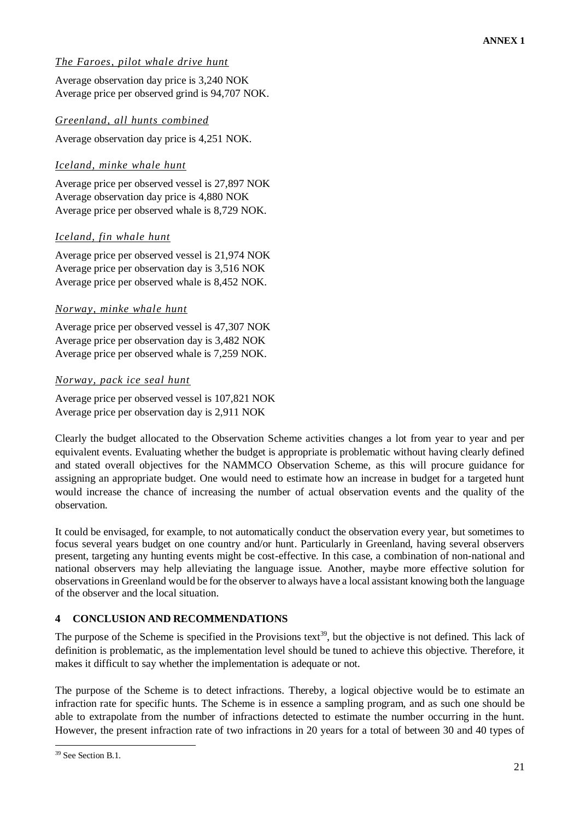## *The Faroes, pilot whale drive hunt*

Average observation day price is 3,240 NOK Average price per observed grind is 94,707 NOK.

#### *Greenland, all hunts combined*

Average observation day price is 4,251 NOK.

#### *Iceland, minke whale hunt*

Average price per observed vessel is 27,897 NOK Average observation day price is 4,880 NOK Average price per observed whale is 8,729 NOK.

#### *Iceland, fin whale hunt*

Average price per observed vessel is 21,974 NOK Average price per observation day is 3,516 NOK Average price per observed whale is 8,452 NOK.

#### *Norway, minke whale hunt*

Average price per observed vessel is 47,307 NOK Average price per observation day is 3,482 NOK Average price per observed whale is 7,259 NOK.

#### *Norway, pack ice seal hunt*

Average price per observed vessel is 107,821 NOK Average price per observation day is 2,911 NOK

Clearly the budget allocated to the Observation Scheme activities changes a lot from year to year and per equivalent events. Evaluating whether the budget is appropriate is problematic without having clearly defined and stated overall objectives for the NAMMCO Observation Scheme, as this will procure guidance for assigning an appropriate budget. One would need to estimate how an increase in budget for a targeted hunt would increase the chance of increasing the number of actual observation events and the quality of the observation.

It could be envisaged, for example, to not automatically conduct the observation every year, but sometimes to focus several years budget on one country and/or hunt. Particularly in Greenland, having several observers present, targeting any hunting events might be cost-effective. In this case, a combination of non-national and national observers may help alleviating the language issue. Another, maybe more effective solution for observations in Greenland would be for the observer to always have a local assistant knowing both the language of the observer and the local situation.

#### <span id="page-22-0"></span>**4 CONCLUSION AND RECOMMENDATIONS**

The purpose of the Scheme is specified in the Provisions text<sup>39</sup>, but the objective is not defined. This lack of definition is problematic, as the implementation level should be tuned to achieve this objective. Therefore, it makes it difficult to say whether the implementation is adequate or not.

The purpose of the Scheme is to detect infractions. Thereby, a logical objective would be to estimate an infraction rate for specific hunts. The Scheme is in essence a sampling program, and as such one should be able to extrapolate from the number of infractions detected to estimate the number occurring in the hunt. However, the present infraction rate of two infractions in 20 years for a total of between 30 and 40 types of

1

<sup>&</sup>lt;sup>39</sup> See Section B.1.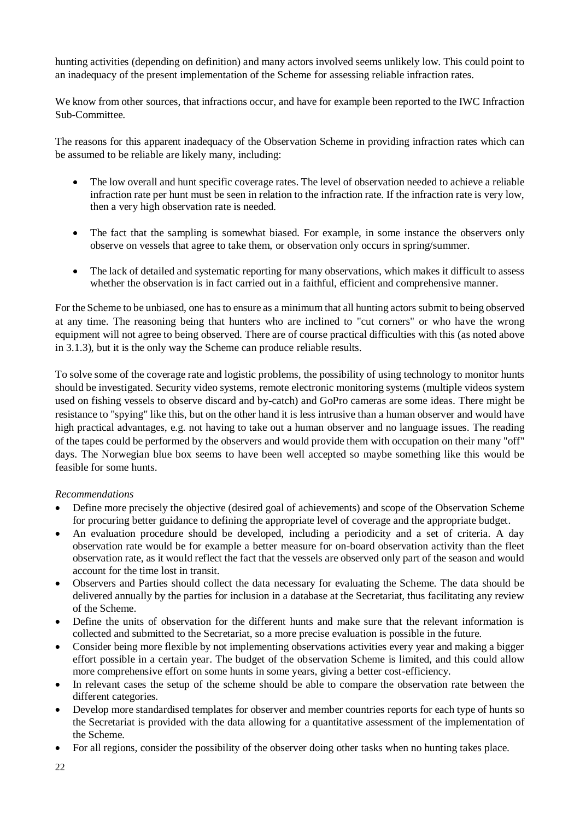hunting activities (depending on definition) and many actors involved seems unlikely low. This could point to an inadequacy of the present implementation of the Scheme for assessing reliable infraction rates.

We know from other sources, that infractions occur, and have for example been reported to the IWC Infraction Sub-Committee.

The reasons for this apparent inadequacy of the Observation Scheme in providing infraction rates which can be assumed to be reliable are likely many, including:

- The low overall and hunt specific coverage rates. The level of observation needed to achieve a reliable infraction rate per hunt must be seen in relation to the infraction rate. If the infraction rate is very low, then a very high observation rate is needed.
- The fact that the sampling is somewhat biased. For example, in some instance the observers only observe on vessels that agree to take them, or observation only occurs in spring/summer.
- The lack of detailed and systematic reporting for many observations, which makes it difficult to assess whether the observation is in fact carried out in a faithful, efficient and comprehensive manner.

For the Scheme to be unbiased, one has to ensure as a minimum that all hunting actors submit to being observed at any time. The reasoning being that hunters who are inclined to "cut corners" or who have the wrong equipment will not agree to being observed. There are of course practical difficulties with this (as noted above in 3.1.3), but it is the only way the Scheme can produce reliable results.

To solve some of the coverage rate and logistic problems, the possibility of using technology to monitor hunts should be investigated. Security video systems, remote electronic monitoring systems (multiple videos system used on fishing vessels to observe discard and by-catch) and GoPro cameras are some ideas. There might be resistance to "spying" like this, but on the other hand it is less intrusive than a human observer and would have high practical advantages, e.g. not having to take out a human observer and no language issues. The reading of the tapes could be performed by the observers and would provide them with occupation on their many "off" days. The Norwegian blue box seems to have been well accepted so maybe something like this would be feasible for some hunts.

#### *Recommendations*

- Define more precisely the objective (desired goal of achievements) and scope of the Observation Scheme for procuring better guidance to defining the appropriate level of coverage and the appropriate budget.
- An evaluation procedure should be developed, including a periodicity and a set of criteria. A day observation rate would be for example a better measure for on-board observation activity than the fleet observation rate, as it would reflect the fact that the vessels are observed only part of the season and would account for the time lost in transit.
- Observers and Parties should collect the data necessary for evaluating the Scheme. The data should be delivered annually by the parties for inclusion in a database at the Secretariat, thus facilitating any review of the Scheme.
- Define the units of observation for the different hunts and make sure that the relevant information is collected and submitted to the Secretariat, so a more precise evaluation is possible in the future.
- Consider being more flexible by not implementing observations activities every year and making a bigger effort possible in a certain year. The budget of the observation Scheme is limited, and this could allow more comprehensive effort on some hunts in some years, giving a better cost-efficiency.
- In relevant cases the setup of the scheme should be able to compare the observation rate between the different categories.
- Develop more standardised templates for observer and member countries reports for each type of hunts so the Secretariat is provided with the data allowing for a quantitative assessment of the implementation of the Scheme.
- For all regions, consider the possibility of the observer doing other tasks when no hunting takes place.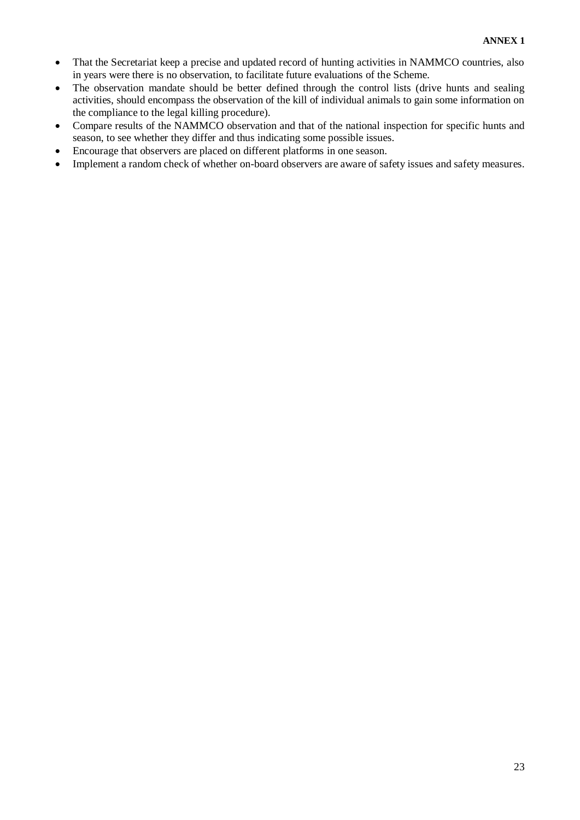- That the Secretariat keep a precise and updated record of hunting activities in NAMMCO countries, also in years were there is no observation, to facilitate future evaluations of the Scheme.
- The observation mandate should be better defined through the control lists (drive hunts and sealing activities, should encompass the observation of the kill of individual animals to gain some information on the compliance to the legal killing procedure).
- Compare results of the NAMMCO observation and that of the national inspection for specific hunts and season, to see whether they differ and thus indicating some possible issues.
- Encourage that observers are placed on different platforms in one season.
- Implement a random check of whether on-board observers are aware of safety issues and safety measures.